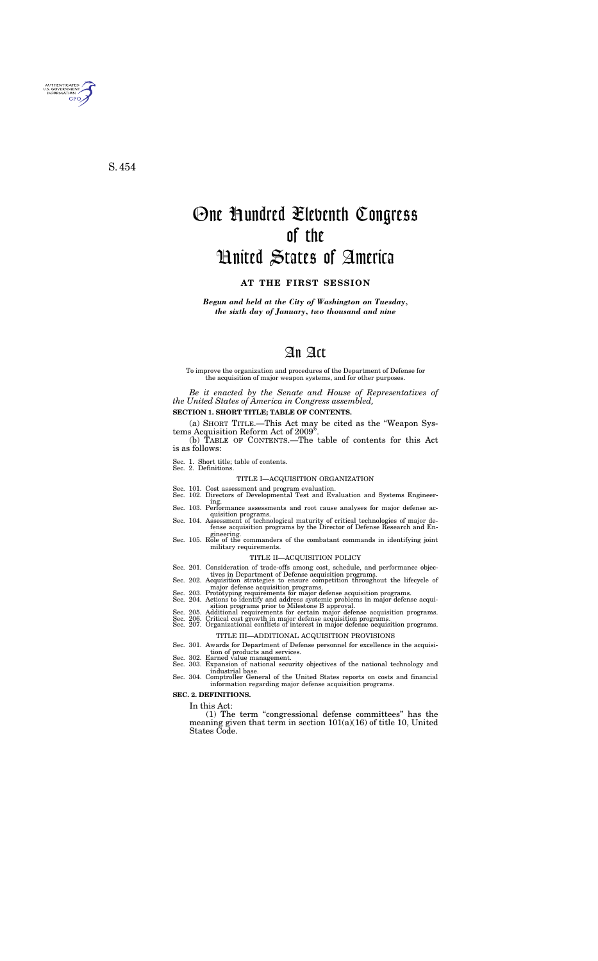*Begun and held at the City of Washington on Tuesday, the sixth day of January, two thousand and nine* 

# An Act

To improve the organization and procedures of the Department of Defense for the acquisition of major weapon systems, and for other purposes.

*Be it enacted by the Senate and House of Representatives of the United States of America in Congress assembled,* 

#### **SECTION 1. SHORT TITLE; TABLE OF CONTENTS.**

(a) SHORT TITLE.—This Act may be cited as the ''Weapon Systems Acquisition Reform Act of 2009'

(b) TABLE OF CONTENTS.—The table of contents for this Act is as follows:

Sec. 1. Short title; table of contents. Sec. 2. Definitions.

#### TITLE I—ACQUISITION ORGANIZATION

Sec. 101. Cost assessment and program evaluation. Sec. 102. Directors of Developmental Test and Evaluation and Systems Engineer-

- ing. Sec. 103. Performance assessments and root cause analyses for major defense ac-
- quisition programs.<br>Sec. 104. Assessment of technological maturity of critical technologies of major de-
- fense acquisition programs by the Director of Defense Research and Engineering.<br>Sec. 105. Role of the commanders of the combatant commands in identifying joint
- military requirements.

#### TITLE II—ACQUISITION POLICY

- Sec. 201. Consideration of trade-offs among cost, schedule, and performance objec-
- tives in Department of Defense acquisition programs.<br>Sec. 202. Acquisition strategies to ensure competition throughout the lifecycle of
- 
- major defense acquisition programs. Sec. 203. Prototyping requirements for major defense acquisition programs. Sec. 204. Actions to identify and address systemic problems in major defense acqui-
- sition programs prior to Milestone B approval.<br>Sec. 205. Additional requirements for certain major defense acquisition programs.<br>Sec. 206. Critical cost growth in major defense acquisition programs.<br>Sec. 207. Organizationa
- 

### TITLE III—ADDITIONAL ACQUISITION PROVISIONS

- Sec. 301. Awards for Department of Defense personnel for excellence in the acquisi-
- Sec. 302. Earned value management.
- Sec. 303. Expansion of national security objectives of the national technology and industrial base. Sec. 304. Comptroller General of the United States reports on costs and financial
- information regarding major defense acquisition programs.

#### **SEC. 2. DEFINITIONS.**

In this Act:

(1) The term ''congressional defense committees'' has the meaning given that term in section  $101(a)(16)$  of title 10, United States Code.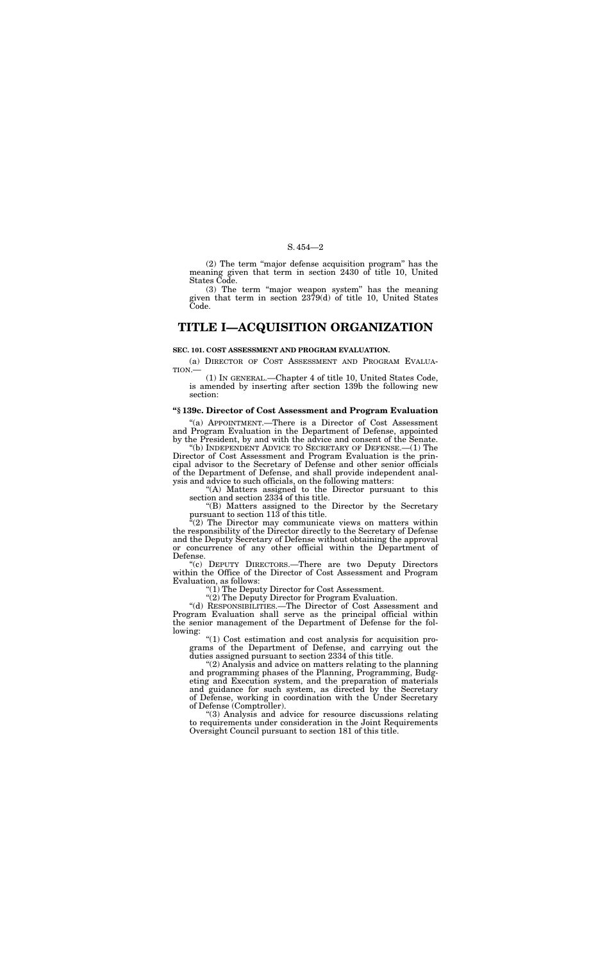(2) The term ''major defense acquisition program'' has the meaning given that term in section 2430 of title 10, United States Code.

(3) The term ''major weapon system'' has the meaning given that term in section 2379(d) of title 10, United States Code.

# **TITLE I—ACQUISITION ORGANIZATION**

#### **SEC. 101. COST ASSESSMENT AND PROGRAM EVALUATION.**

(a) DIRECTOR OF COST ASSESSMENT AND PROGRAM EVALUA-TION.—

(1) IN GENERAL.—Chapter 4 of title 10, United States Code, is amended by inserting after section 139b the following new section:

"(b) INDEPENDENT ADVICE TO SECRETARY OF DEFENSE.—(1) The Director of Cost Assessment and Program Evaluation is the principal advisor to the Secretary of Defense and other senior officials of the Department of Defense, and shall provide independent analysis and advice to such officials, on the following matters:

#### **''§ 139c. Director of Cost Assessment and Program Evaluation**

"(A) Matters assigned to the Director pursuant to this section and section 2334 of this title.

''(B) Matters assigned to the Director by the Secretary pursuant to section 113 of this title.

''(a) APPOINTMENT.—There is a Director of Cost Assessment and Program Evaluation in the Department of Defense, appointed by the President, by and with the advice and consent of the Senate.

 $\mathcal{L}(2)$  The Director may communicate views on matters within the responsibility of the Director directly to the Secretary of Defense and the Deputy Secretary of Defense without obtaining the approval or concurrence of any other official within the Department of Defense.

''(c) DEPUTY DIRECTORS.—There are two Deputy Directors within the Office of the Director of Cost Assessment and Program Evaluation, as follows:

''(1) The Deputy Director for Cost Assessment.

''(2) The Deputy Director for Program Evaluation.

''(d) RESPONSIBILITIES.—The Director of Cost Assessment and Program Evaluation shall serve as the principal official within the senior management of the Department of Defense for the following:

''(1) Cost estimation and cost analysis for acquisition programs of the Department of Defense, and carrying out the duties assigned pursuant to section 2334 of this title.

''(2) Analysis and advice on matters relating to the planning and programming phases of the Planning, Programming, Budgeting and Execution system, and the preparation of materials and guidance for such system, as directed by the Secretary of Defense, working in coordination with the Under Secretary of Defense (Comptroller).

''(3) Analysis and advice for resource discussions relating to requirements under consideration in the Joint Requirements Oversight Council pursuant to section 181 of this title.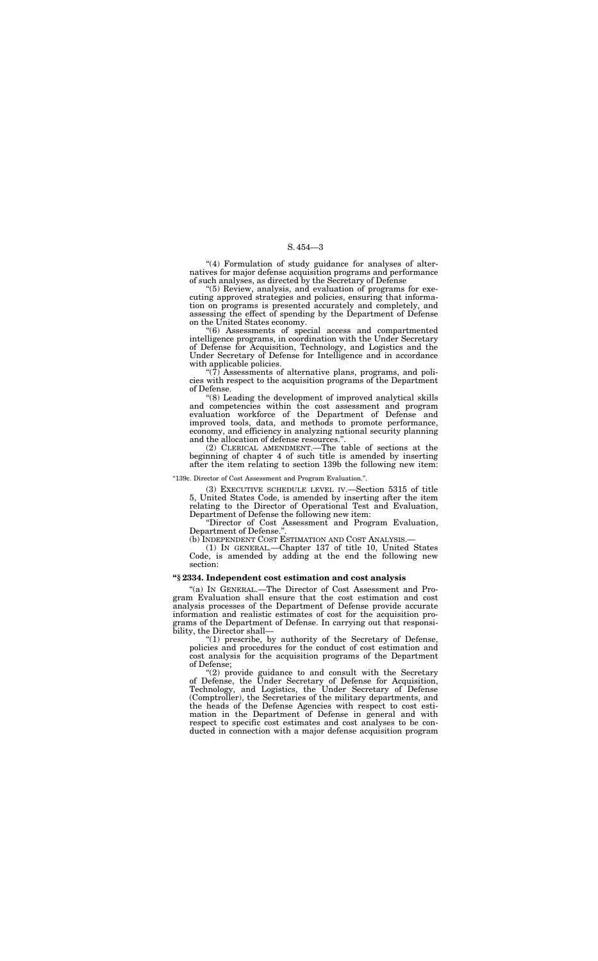"(4) Formulation of study guidance for analyses of alternatives for major defense acquisition programs and performance of such analyses, as directed by the Secretary of Defense

''(5) Review, analysis, and evaluation of programs for executing approved strategies and policies, ensuring that information on programs is presented accurately and completely, and assessing the effect of spending by the Department of Defense on the United States economy.

 $\sqrt[4]{(7)}$  Assessments of alternative plans, programs, and policies with respect to the acquisition programs of the Department of Defense.

''(6) Assessments of special access and compartmented intelligence programs, in coordination with the Under Secretary of Defense for Acquisition, Technology, and Logistics and the Under Secretary of Defense for Intelligence and in accordance with applicable policies.

''Director of Cost Assessment and Program Evaluation, Department of Defense.'

''(8) Leading the development of improved analytical skills and competencies within the cost assessment and program evaluation workforce of the Department of Defense and improved tools, data, and methods to promote performance, economy, and efficiency in analyzing national security planning and the allocation of defense resources.''.

"(1) prescribe, by authority of the Secretary of Defense, policies and procedures for the conduct of cost estimation and cost analysis for the acquisition programs of the Department of Defense;

(2) CLERICAL AMENDMENT.—The table of sections at the beginning of chapter 4 of such title is amended by inserting after the item relating to section 139b the following new item:

#### ''139c. Director of Cost Assessment and Program Evaluation.''.

"(2) provide guidance to and consult with the Secretary of Defense, the Under Secretary of Defense for Acquisition, Technology, and Logistics, the Under Secretary of Defense (Comptroller), the Secretaries of the military departments, and the heads of the Defense Agencies with respect to cost estimation in the Department of Defense in general and with respect to specific cost estimates and cost analyses to be conducted in connection with a major defense acquisition program

(3) EXECUTIVE SCHEDULE LEVEL IV.—Section 5315 of title 5, United States Code, is amended by inserting after the item relating to the Director of Operational Test and Evaluation, Department of Defense the following new item:

(b) INDEPENDENT COST ESTIMATION AND COST ANALYSIS.—

(1) IN GENERAL.—Chapter 137 of title 10, United States Code, is amended by adding at the end the following new section:

#### **''§ 2334. Independent cost estimation and cost analysis**

''(a) IN GENERAL.—The Director of Cost Assessment and Program Evaluation shall ensure that the cost estimation and cost analysis processes of the Department of Defense provide accurate information and realistic estimates of cost for the acquisition programs of the Department of Defense. In carrying out that responsibility, the Director shall—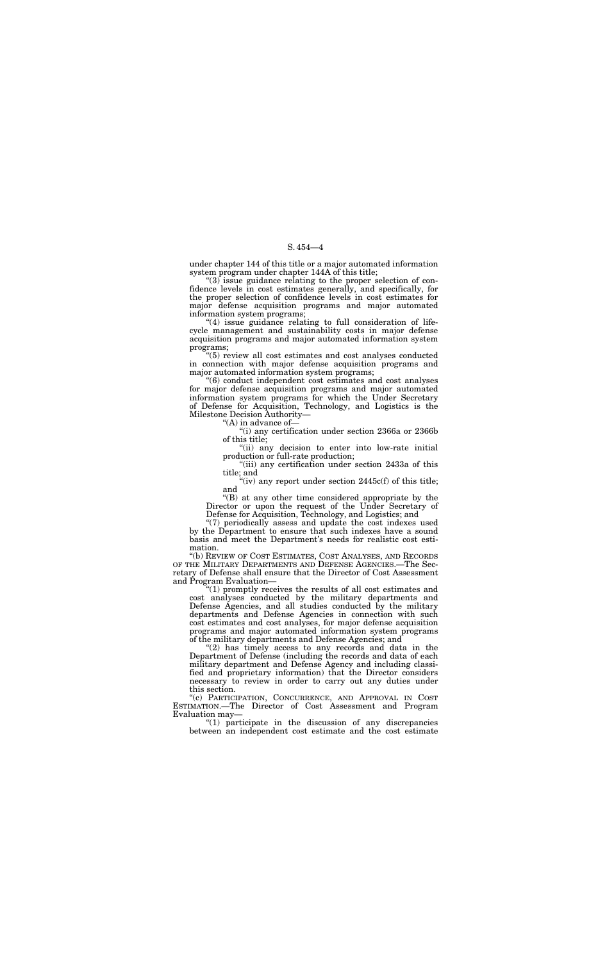under chapter 144 of this title or a major automated information system program under chapter 144A of this title;

''(3) issue guidance relating to the proper selection of confidence levels in cost estimates generally, and specifically, for the proper selection of confidence levels in cost estimates for major defense acquisition programs and major automated information system programs;

"(4) issue guidance relating to full consideration of lifecycle management and sustainability costs in major defense acquisition programs and major automated information system programs;

> "(ii) any decision to enter into low-rate initial production or full-rate production;

> $\mathcal{L}$  (iv) any report under section 2445c(f) of this title; and

''(5) review all cost estimates and cost analyses conducted in connection with major defense acquisition programs and major automated information system programs;

''(b) REVIEW OF COST ESTIMATES, COST ANALYSES, AND RECORDS OF THE MILITARY DEPARTMENTS AND DEFENSE AGENCIES.—The Secretary of Defense shall ensure that the Director of Cost Assessment and Program Evaluation-

''(6) conduct independent cost estimates and cost analyses for major defense acquisition programs and major automated information system programs for which the Under Secretary of Defense for Acquisition, Technology, and Logistics is the Milestone Decision Authority—

"(A) in advance of-

''(i) any certification under section 2366a or 2366b of this title;

''(iii) any certification under section 2433a of this title; and

" $(2)$  has timely access to any records and data in the Department of Defense (including the records and data of each military department and Defense Agency and including classified and proprietary information) that the Director considers necessary to review in order to carry out any duties under this section.

''(B) at any other time considered appropriate by the Director or upon the request of the Under Secretary of Defense for Acquisition, Technology, and Logistics; and

''(7) periodically assess and update the cost indexes used by the Department to ensure that such indexes have a sound basis and meet the Department's needs for realistic cost estimation.

''(1) promptly receives the results of all cost estimates and cost analyses conducted by the military departments and Defense Agencies, and all studies conducted by the military departments and Defense Agencies in connection with such cost estimates and cost analyses, for major defense acquisition programs and major automated information system programs of the military departments and Defense Agencies; and

''(c) PARTICIPATION, CONCURRENCE, AND APPROVAL IN COST ESTIMATION.—The Director of Cost Assessment and Program Evaluation may—

''(1) participate in the discussion of any discrepancies between an independent cost estimate and the cost estimate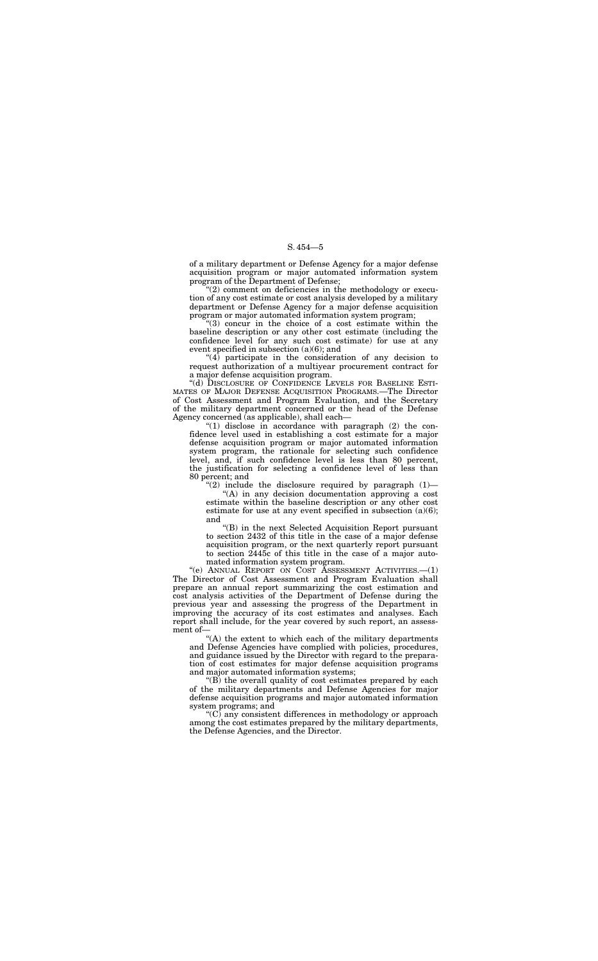of a military department or Defense Agency for a major defense acquisition program or major automated information system program of the Department of Defense;

''(2) comment on deficiencies in the methodology or execution of any cost estimate or cost analysis developed by a military department or Defense Agency for a major defense acquisition program or major automated information system program;

 $\sqrt[4]{(4)}$  participate in the consideration of any decision to request authorization of a multiyear procurement contract for a major defense acquisition program.

''(3) concur in the choice of a cost estimate within the baseline description or any other cost estimate (including the confidence level for any such cost estimate) for use at any event specified in subsection (a)(6); and

" $(1)$  disclose in accordance with paragraph  $(2)$  the confidence level used in establishing a cost estimate for a major defense acquisition program or major automated information system program, the rationale for selecting such confidence level, and, if such confidence level is less than 80 percent, the justification for selecting a confidence level of less than 80 percent; and

"(2) include the disclosure required by paragraph  $(1)$ —

''(d) DISCLOSURE OF CONFIDENCE LEVELS FOR BASELINE ESTI-MATES OF MAJOR DEFENSE ACQUISITION PROGRAMS.—The Director of Cost Assessment and Program Evaluation, and the Secretary of the military department concerned or the head of the Defense Agency concerned (as applicable), shall each—

''(e) ANNUAL REPORT ON COST ASSESSMENT ACTIVITIES.—(1) The Director of Cost Assessment and Program Evaluation shall prepare an annual report summarizing the cost estimation and cost analysis activities of the Department of Defense during the previous year and assessing the progress of the Department in improving the accuracy of its cost estimates and analyses. Each report shall include, for the year covered by such report, an assessment of-

"(B) the overall quality of cost estimates prepared by each of the military departments and Defense Agencies for major defense acquisition programs and major automated information system programs; and

"(C) any consistent differences in methodology or approach among the cost estimates prepared by the military departments, the Defense Agencies, and the Director.

''(A) in any decision documentation approving a cost estimate within the baseline description or any other cost estimate for use at any event specified in subsection (a)(6); and

''(B) in the next Selected Acquisition Report pursuant to section 2432 of this title in the case of a major defense acquisition program, or the next quarterly report pursuant to section 2445c of this title in the case of a major automated information system program.

''(A) the extent to which each of the military departments and Defense Agencies have complied with policies, procedures, and guidance issued by the Director with regard to the preparation of cost estimates for major defense acquisition programs and major automated information systems;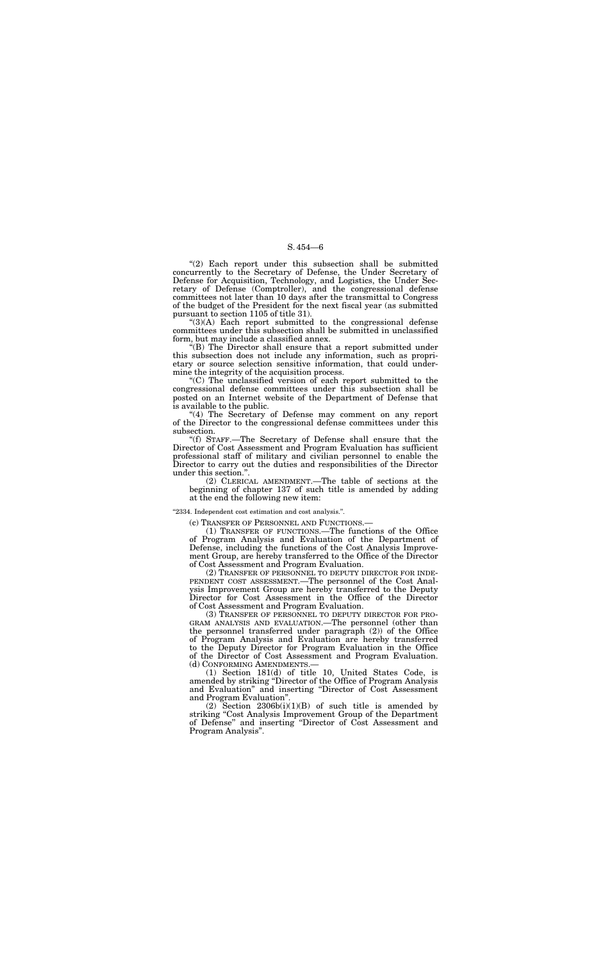"(2) Each report under this subsection shall be submitted concurrently to the Secretary of Defense, the Under Secretary of Defense for Acquisition, Technology, and Logistics, the Under Secretary of Defense (Comptroller), and the congressional defense committees not later than 10 days after the transmittal to Congress of the budget of the President for the next fiscal year (as submitted pursuant to section 1105 of title 31).

 $(3)(A)$  Each report submitted to the congressional defense committees under this subsection shall be submitted in unclassified form, but may include a classified annex.

"(4) The Secretary of Defense may comment on any report of the Director to the congressional defense committees under this subsection.

''(B) The Director shall ensure that a report submitted under this subsection does not include any information, such as proprietary or source selection sensitive information, that could undermine the integrity of the acquisition process.

''(C) The unclassified version of each report submitted to the congressional defense committees under this subsection shall be posted on an Internet website of the Department of Defense that is available to the public.

''(f) STAFF.—The Secretary of Defense shall ensure that the Director of Cost Assessment and Program Evaluation has sufficient professional staff of military and civilian personnel to enable the Director to carry out the duties and responsibilities of the Director under this section.''.

(2) Section  $2306b(i)(1)(B)$  of such title is amended by striking ''Cost Analysis Improvement Group of the Department of Defense'' and inserting ''Director of Cost Assessment and Program Analysis''.

(2) CLERICAL AMENDMENT.—The table of sections at the beginning of chapter 137 of such title is amended by adding at the end the following new item:

#### ''2334. Independent cost estimation and cost analysis.''.

(c) TRANSFER OF PERSONNEL AND FUNCTIONS.—

(1) TRANSFER OF FUNCTIONS.—The functions of the Office of Program Analysis and Evaluation of the Department of Defense, including the functions of the Cost Analysis Improvement Group, are hereby transferred to the Office of the Director of Cost Assessment and Program Evaluation.

(2) TRANSFER OF PERSONNEL TO DEPUTY DIRECTOR FOR INDE-PENDENT COST ASSESSMENT.—The personnel of the Cost Analysis Improvement Group are hereby transferred to the Deputy Director for Cost Assessment in the Office of the Director of Cost Assessment and Program Evaluation.

(3) TRANSFER OF PERSONNEL TO DEPUTY DIRECTOR FOR PRO-GRAM ANALYSIS AND EVALUATION.—The personnel (other than the personnel transferred under paragraph (2)) of the Office of Program Analysis and Evaluation are hereby transferred to the Deputy Director for Program Evaluation in the Office of the Director of Cost Assessment and Program Evaluation. (d) CONFORMING AMENDMENTS.— (1) Section 181(d) of title 10, United States Code, is

amended by striking ''Director of the Office of Program Analysis and Evaluation'' and inserting ''Director of Cost Assessment and Program Evaluation''.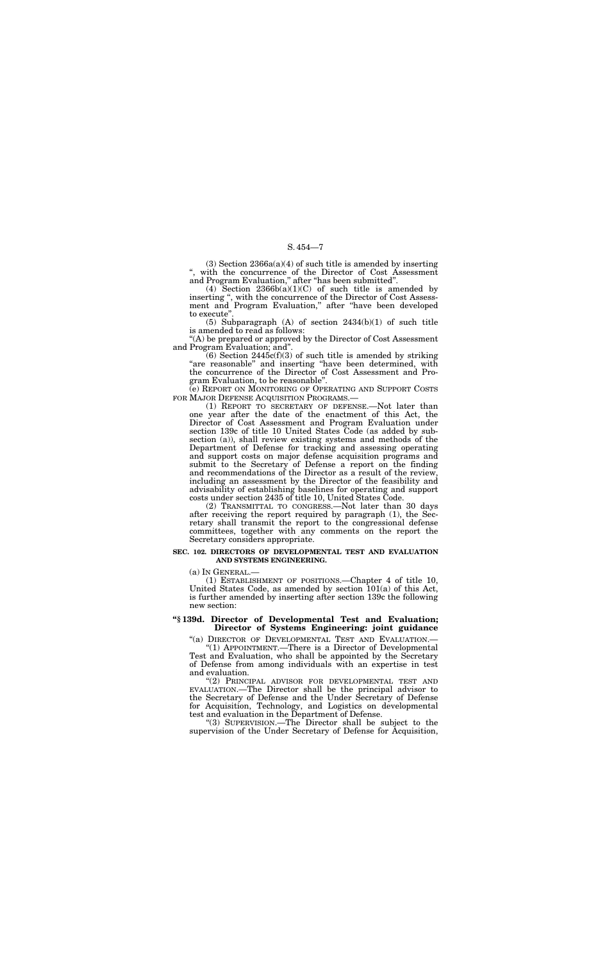$(3)$  Section  $2366a(a)(4)$  of such title is amended by inserting '', with the concurrence of the Director of Cost Assessment and Program Evaluation,'' after ''has been submitted''.

(4) Section  $2366b(a)(1)(C)$  of such title is amended by inserting ", with the concurrence of the Director of Cost Assessment and Program Evaluation,'' after ''have been developed to execute'

 $(6)$  Section 2445 $c(f)(3)$  of such title is amended by striking "are reasonable" and inserting "have been determined, with the concurrence of the Director of Cost Assessment and Program Evaluation, to be reasonable''.

(5) Subparagraph (A) of section 2434(b)(1) of such title is amended to read as follows:

''(A) be prepared or approved by the Director of Cost Assessment and Program Evaluation; and''.

(e) REPORT ON MONITORING OF OPERATING AND SUPPORT COSTS FOR MAJOR DEFENSE ACQUISITION PROGRAMS.—

(1) REPORT TO SECRETARY OF DEFENSE.—Not later than one year after the date of the enactment of this Act, the Director of Cost Assessment and Program Evaluation under section 139c of title 10 United States Code (as added by subsection (a)), shall review existing systems and methods of the Department of Defense for tracking and assessing operating and support costs on major defense acquisition programs and submit to the Secretary of Defense a report on the finding and recommendations of the Director as a result of the review, including an assessment by the Director of the feasibility and advisability of establishing baselines for operating and support costs under section 2435 of title 10, United States Code.

(2) TRANSMITTAL TO CONGRESS.—Not later than 30 days after receiving the report required by paragraph (1), the Secretary shall transmit the report to the congressional defense committees, together with any comments on the report the Secretary considers appropriate.

#### **SEC. 102. DIRECTORS OF DEVELOPMENTAL TEST AND EVALUATION AND SYSTEMS ENGINEERING.**

(a) IN GENERAL.—

(1) ESTABLISHMENT OF POSITIONS.—Chapter 4 of title 10, United States Code, as amended by section 101(a) of this Act, is further amended by inserting after section 139c the following new section:

#### **''§ 139d. Director of Developmental Test and Evaluation; Director of Systems Engineering: joint guidance**

"(a) DIRECTOR OF DEVELOPMENTAL TEST AND EVALUATION.

''(1) APPOINTMENT.—There is a Director of Developmental Test and Evaluation, who shall be appointed by the Secretary of Defense from among individuals with an expertise in test and evaluation.

''(2) PRINCIPAL ADVISOR FOR DEVELOPMENTAL TEST AND EVALUATION.—The Director shall be the principal advisor to the Secretary of Defense and the Under Secretary of Defense for Acquisition, Technology, and Logistics on developmental test and evaluation in the Department of Defense.

''(3) SUPERVISION.—The Director shall be subject to the supervision of the Under Secretary of Defense for Acquisition,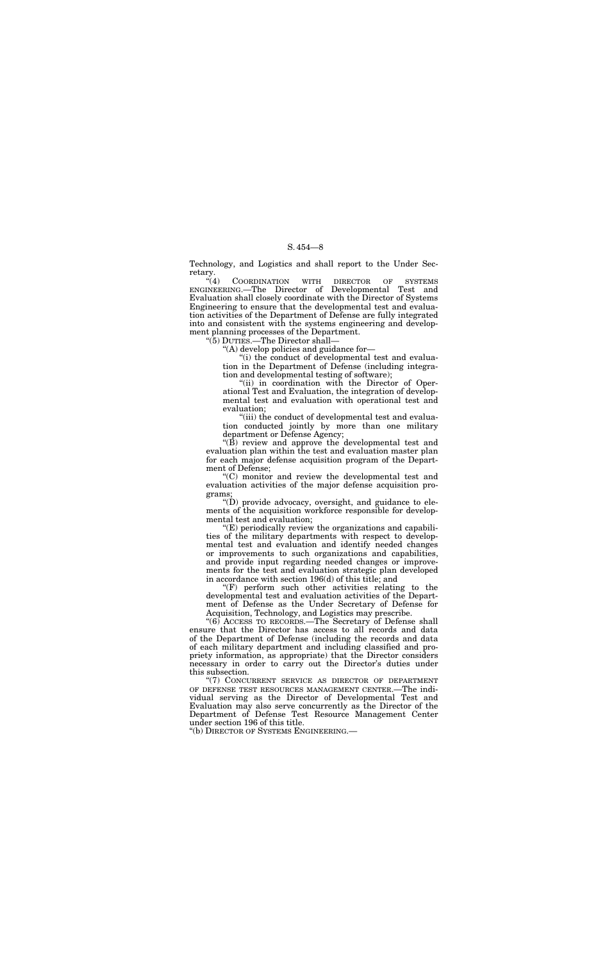Technology, and Logistics and shall report to the Under Secretary.

"(4) COORDINATION WITH DIRECTOR OF SYSTEMS ENGINEERING.—The Director of Developmental Test and Evaluation shall closely coordinate with the Director of Systems Engineering to ensure that the developmental test and evaluation activities of the Department of Defense are fully integrated into and consistent with the systems engineering and development planning processes of the Department.

> "(ii) in coordination with the Director of Operational Test and Evaluation, the integration of developmental test and evaluation with operational test and evaluation;

''(5) DUTIES.—The Director shall—

"(iii) the conduct of developmental test and evaluation conducted jointly by more than one military department or Defense Agency;

''(A) develop policies and guidance for—

 $\mathrm{``(B)}$  review and approve the developmental test and evaluation plan within the test and evaluation master plan for each major defense acquisition program of the Department of Defense;

''(i) the conduct of developmental test and evaluation in the Department of Defense (including integration and developmental testing of software);

 $\mathrm{``(D)}$  provide advocacy, oversight, and guidance to elements of the acquisition workforce responsible for developmental test and evaluation;

 $E$ ) periodically review the organizations and capabilities of the military departments with respect to developmental test and evaluation and identify needed changes or improvements to such organizations and capabilities, and provide input regarding needed changes or improvements for the test and evaluation strategic plan developed in accordance with section 196(d) of this title; and

"(6) ACCESS TO RECORDS.—The Secretary of Defense shall ensure that the Director has access to all records and data of the Department of Defense (including the records and data of each military department and including classified and propriety information, as appropriate) that the Director considers necessary in order to carry out the Director's duties under this subsection.

''(C) monitor and review the developmental test and evaluation activities of the major defense acquisition programs;

''(F) perform such other activities relating to the developmental test and evaluation activities of the Department of Defense as the Under Secretary of Defense for Acquisition, Technology, and Logistics may prescribe.

''(7) CONCURRENT SERVICE AS DIRECTOR OF DEPARTMENT OF DEFENSE TEST RESOURCES MANAGEMENT CENTER.—The individual serving as the Director of Developmental Test and Evaluation may also serve concurrently as the Director of the Department of Defense Test Resource Management Center under section 196 of this title.

''(b) DIRECTOR OF SYSTEMS ENGINEERING.—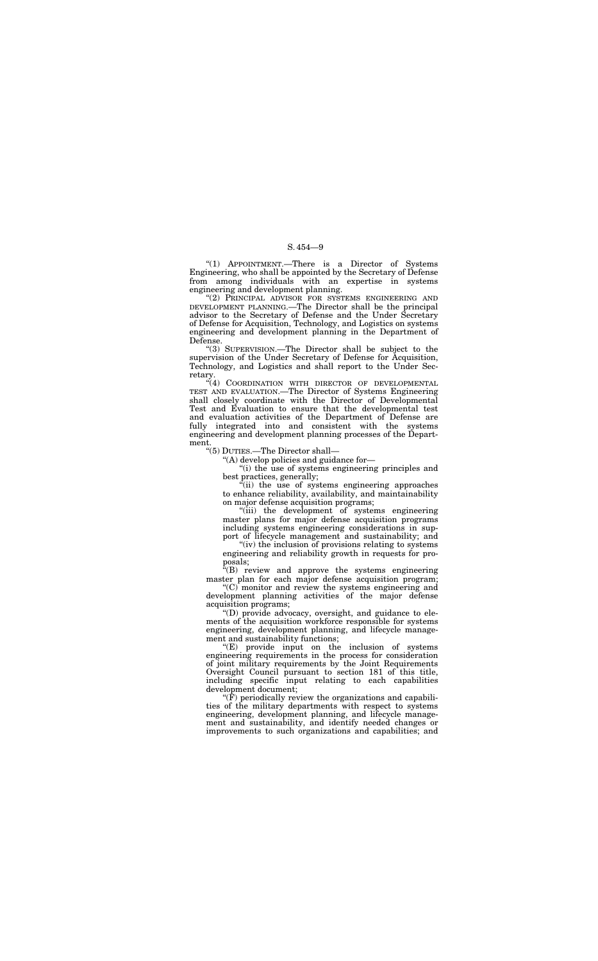''(1) APPOINTMENT.—There is a Director of Systems Engineering, who shall be appointed by the Secretary of Defense from among individuals with an expertise in systems engineering and development planning.

''(2) PRINCIPAL ADVISOR FOR SYSTEMS ENGINEERING AND DEVELOPMENT PLANNING.—The Director shall be the principal advisor to the Secretary of Defense and the Under Secretary of Defense for Acquisition, Technology, and Logistics on systems engineering and development planning in the Department of Defense.

"(4) COORDINATION WITH DIRECTOR OF DEVELOPMENTAL TEST AND EVALUATION.—The Director of Systems Engineering shall closely coordinate with the Director of Developmental Test and Evaluation to ensure that the developmental test and evaluation activities of the Department of Defense are fully integrated into and consistent with the systems engineering and development planning processes of the Department.

''(3) SUPERVISION.—The Director shall be subject to the supervision of the Under Secretary of Defense for Acquisition, Technology, and Logistics and shall report to the Under Secretary.

> "(ii) the use of systems engineering approaches to enhance reliability, availability, and maintainability on major defense acquisition programs;

 $f(B)$  review and approve the systems engineering master plan for each major defense acquisition program;

''(E) provide input on the inclusion of systems engineering requirements in the process for consideration of joint military requirements by the Joint Requirements Oversight Council pursuant to section 181 of this title, including specific input relating to each capabilities development document;

''(5) DUTIES.—The Director shall—

''(A) develop policies and guidance for—

''(i) the use of systems engineering principles and best practices, generally;

 $\mathcal{F}(\bar{F})$  periodically review the organizations and capabilities of the military departments with respect to systems engineering, development planning, and lifecycle management and sustainability, and identify needed changes or improvements to such organizations and capabilities; and

''(iii) the development of systems engineering master plans for major defense acquisition programs including systems engineering considerations in support of lifecycle management and sustainability; and

"(iv) the inclusion of provisions relating to systems engineering and reliability growth in requests for proposals;

''(C) monitor and review the systems engineering and development planning activities of the major defense acquisition programs;

''(D) provide advocacy, oversight, and guidance to elements of the acquisition workforce responsible for systems engineering, development planning, and lifecycle management and sustainability functions;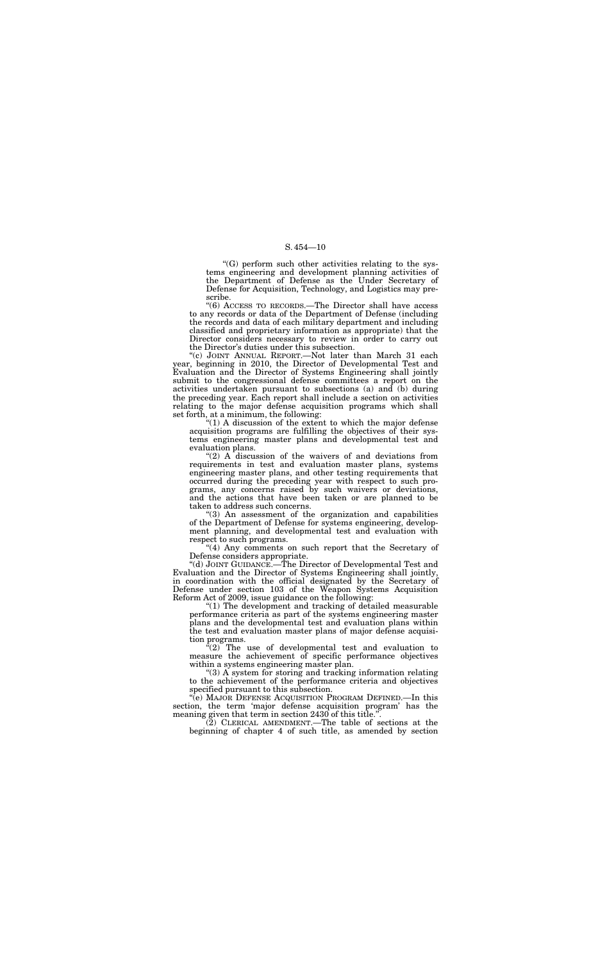$G$ ) perform such other activities relating to the systems engineering and development planning activities of the Department of Defense as the Under Secretary of Defense for Acquisition, Technology, and Logistics may prescribe.

''(6) ACCESS TO RECORDS.—The Director shall have access to any records or data of the Department of Defense (including the records and data of each military department and including classified and proprietary information as appropriate) that the Director considers necessary to review in order to carry out the Director's duties under this subsection.

"(c) JOINT ANNUAL REPORT.—Not later than March 31 each year, beginning in 2010, the Director of Developmental Test and Evaluation and the Director of Systems Engineering shall jointly submit to the congressional defense committees a report on the activities undertaken pursuant to subsections (a) and (b) during the preceding year. Each report shall include a section on activities relating to the major defense acquisition programs which shall set forth, at a minimum, the following:

 $(1)$  A discussion of the extent to which the major defense acquisition programs are fulfilling the objectives of their systems engineering master plans and developmental test and evaluation plans.

" $(2)$  A discussion of the waivers of and deviations from requirements in test and evaluation master plans, systems engineering master plans, and other testing requirements that occurred during the preceding year with respect to such programs, any concerns raised by such waivers or deviations, and the actions that have been taken or are planned to be taken to address such concerns.

 $\sqrt[3]{2}$  The use of developmental test and evaluation to measure the achievement of specific performance objectives within a systems engineering master plan.

''(e) MAJOR DEFENSE ACQUISITION PROGRAM DEFINED.—In this section, the term 'major defense acquisition program' has the meaning given that term in section 2430 of this title.'

''(3) An assessment of the organization and capabilities of the Department of Defense for systems engineering, development planning, and developmental test and evaluation with respect to such programs.

''(4) Any comments on such report that the Secretary of Defense considers appropriate.

''(d) JOINT GUIDANCE.—The Director of Developmental Test and Evaluation and the Director of Systems Engineering shall jointly, in coordination with the official designated by the Secretary of Defense under section 103 of the Weapon Systems Acquisition Reform Act of 2009, issue guidance on the following:

''(1) The development and tracking of detailed measurable performance criteria as part of the systems engineering master plans and the developmental test and evaluation plans within the test and evaluation master plans of major defense acquisition programs.

''(3) A system for storing and tracking information relating to the achievement of the performance criteria and objectives specified pursuant to this subsection.

(2) CLERICAL AMENDMENT.—The table of sections at the beginning of chapter 4 of such title, as amended by section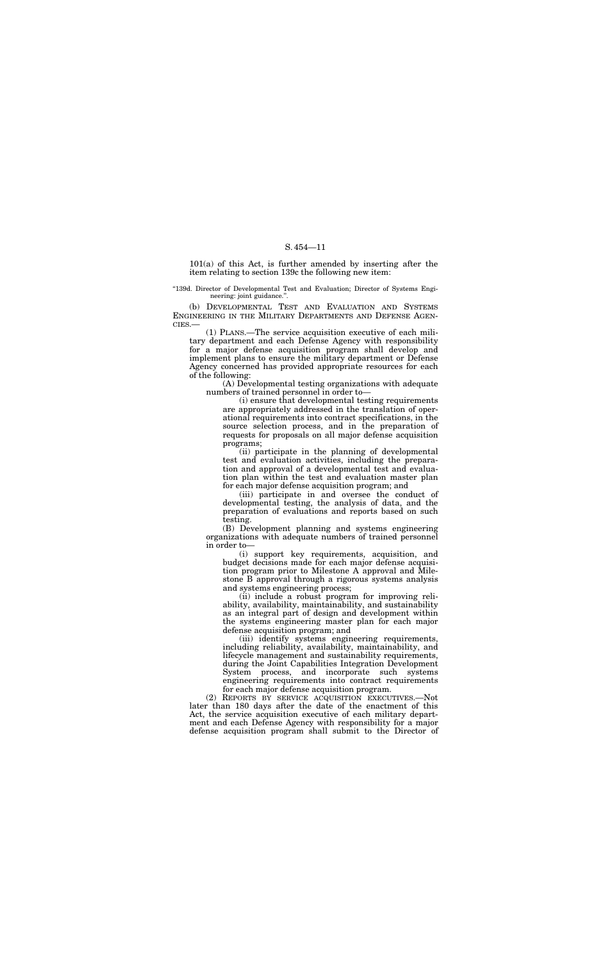101(a) of this Act, is further amended by inserting after the item relating to section 139c the following new item:

"139d. Director of Developmental Test and Evaluation; Director of Systems Engineering: joint guidance.''.

(b) DEVELOPMENTAL TEST AND EVALUATION AND SYSTEMS ENGINEERING IN THE MILITARY DEPARTMENTS AND DEFENSE AGEN-CIES.—

(1) PLANS.—The service acquisition executive of each military department and each Defense Agency with responsibility for a major defense acquisition program shall develop and implement plans to ensure the military department or Defense Agency concerned has provided appropriate resources for each of the following:

(A) Developmental testing organizations with adequate numbers of trained personnel in order to—

(i) ensure that developmental testing requirements are appropriately addressed in the translation of operational requirements into contract specifications, in the source selection process, and in the preparation of requests for proposals on all major defense acquisition programs;

(ii) participate in the planning of developmental test and evaluation activities, including the preparation and approval of a developmental test and evaluation plan within the test and evaluation master plan for each major defense acquisition program; and

(iii) participate in and oversee the conduct of developmental testing, the analysis of data, and the preparation of evaluations and reports based on such testing.

(B) Development planning and systems engineering organizations with adequate numbers of trained personnel in order to—

(i) support key requirements, acquisition, and budget decisions made for each major defense acquisition program prior to Milestone A approval and Milestone B approval through a rigorous systems analysis and systems engineering process;

(ii) include a robust program for improving reliability, availability, maintainability, and sustainability as an integral part of design and development within the systems engineering master plan for each major defense acquisition program; and

(iii) identify systems engineering requirements, including reliability, availability, maintainability, and lifecycle management and sustainability requirements, during the Joint Capabilities Integration Development System process, and incorporate such systems engineering requirements into contract requirements for each major defense acquisition program.

(2) REPORTS BY SERVICE ACQUISITION EXECUTIVES.—Not later than 180 days after the date of the enactment of this Act, the service acquisition executive of each military department and each Defense Agency with responsibility for a major defense acquisition program shall submit to the Director of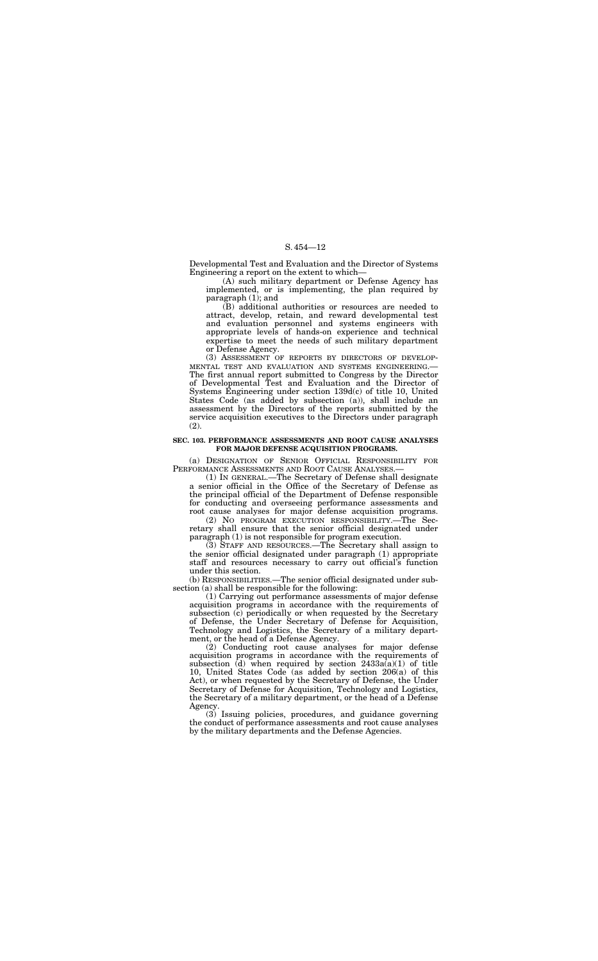Developmental Test and Evaluation and the Director of Systems Engineering a report on the extent to which—

(A) such military department or Defense Agency has implemented, or is implementing, the plan required by paragraph (1); and

(B) additional authorities or resources are needed to attract, develop, retain, and reward developmental test and evaluation personnel and systems engineers with appropriate levels of hands-on experience and technical expertise to meet the needs of such military department or Defense Agency.

(a) DESIGNATION OF SENIOR OFFICIAL RESPONSIBILITY FOR PERFORMANCE ASSESSMENTS AND ROOT CAUSE ANALYSES.

(3) ASSESSMENT OF REPORTS BY DIRECTORS OF DEVELOP-MENTAL TEST AND EVALUATION AND SYSTEMS ENGINEERING.— The first annual report submitted to Congress by the Director of Developmental Test and Evaluation and the Director of Systems Engineering under section 139d(c) of title 10, United States Code (as added by subsection (a)), shall include an assessment by the Directors of the reports submitted by the service acquisition executives to the Directors under paragraph (2).

#### **SEC. 103. PERFORMANCE ASSESSMENTS AND ROOT CAUSE ANALYSES FOR MAJOR DEFENSE ACQUISITION PROGRAMS.**

(1) IN GENERAL.—The Secretary of Defense shall designate a senior official in the Office of the Secretary of Defense as the principal official of the Department of Defense responsible for conducting and overseeing performance assessments and root cause analyses for major defense acquisition programs.

(2) NO PROGRAM EXECUTION RESPONSIBILITY.—The Secretary shall ensure that the senior official designated under paragraph (1) is not responsible for program execution.

(3) STAFF AND RESOURCES.—The Secretary shall assign to the senior official designated under paragraph (1) appropriate staff and resources necessary to carry out official's function under this section.

(b) RESPONSIBILITIES.—The senior official designated under subsection (a) shall be responsible for the following:

(1) Carrying out performance assessments of major defense acquisition programs in accordance with the requirements of subsection  $(c)$  periodically or when requested by the Secretary of Defense, the Under Secretary of Defense for Acquisition, Technology and Logistics, the Secretary of a military department, or the head of a Defense Agency.

(2) Conducting root cause analyses for major defense acquisition programs in accordance with the requirements of subsection (d) when required by section  $2433a(a)(1)$  of title 10, United States Code (as added by section 206(a) of this Act), or when requested by the Secretary of Defense, the Under Secretary of Defense for Acquisition, Technology and Logistics, the Secretary of a military department, or the head of a Defense Agency.

(3) Issuing policies, procedures, and guidance governing the conduct of performance assessments and root cause analyses by the military departments and the Defense Agencies.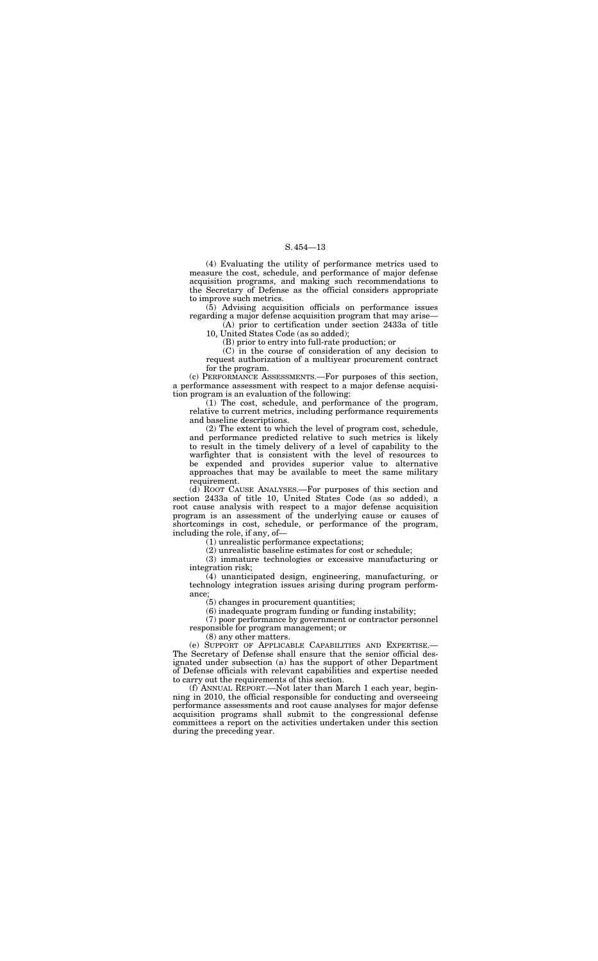(4) Evaluating the utility of performance metrics used to measure the cost, schedule, and performance of major defense acquisition programs, and making such recommendations to the Secretary of Defense as the official considers appropriate to improve such metrics.

(5) Advising acquisition officials on performance issues regarding a major defense acquisition program that may arise—

(A) prior to certification under section 2433a of title 10, United States Code (as so added);

(B) prior to entry into full-rate production; or

(C) in the course of consideration of any decision to request authorization of a multiyear procurement contract for the program.

 $(2)$  The extent to which the level of program cost, schedule, and performance predicted relative to such metrics is likely to result in the timely delivery of a level of capability to the warfighter that is consistent with the level of resources to be expended and provides superior value to alternative approaches that may be available to meet the same military requirement.

(c) PERFORMANCE ASSESSMENTS.—For purposes of this section, a performance assessment with respect to a major defense acquisition program is an evaluation of the following:

(1) The cost, schedule, and performance of the program, relative to current metrics, including performance requirements and baseline descriptions.

(d) ROOT CAUSE ANALYSES.—For purposes of this section and section 2433a of title 10, United States Code (as so added), a root cause analysis with respect to a major defense acquisition program is an assessment of the underlying cause or causes of shortcomings in cost, schedule, or performance of the program, including the role, if any, of—

(1) unrealistic performance expectations;

(2) unrealistic baseline estimates for cost or schedule;

(3) immature technologies or excessive manufacturing or integration risk;

(4) unanticipated design, engineering, manufacturing, or technology integration issues arising during program performance;

(5) changes in procurement quantities;

(6) inadequate program funding or funding instability;

(7) poor performance by government or contractor personnel responsible for program management; or

(8) any other matters.

(e) SUPPORT OF APPLICABLE CAPABILITIES AND EXPERTISE.— The Secretary of Defense shall ensure that the senior official designated under subsection (a) has the support of other Department of Defense officials with relevant capabilities and expertise needed to carry out the requirements of this section.

(f) ANNUAL REPORT.—Not later than March 1 each year, beginning in 2010, the official responsible for conducting and overseeing performance assessments and root cause analyses for major defense acquisition programs shall submit to the congressional defense committees a report on the activities undertaken under this section during the preceding year.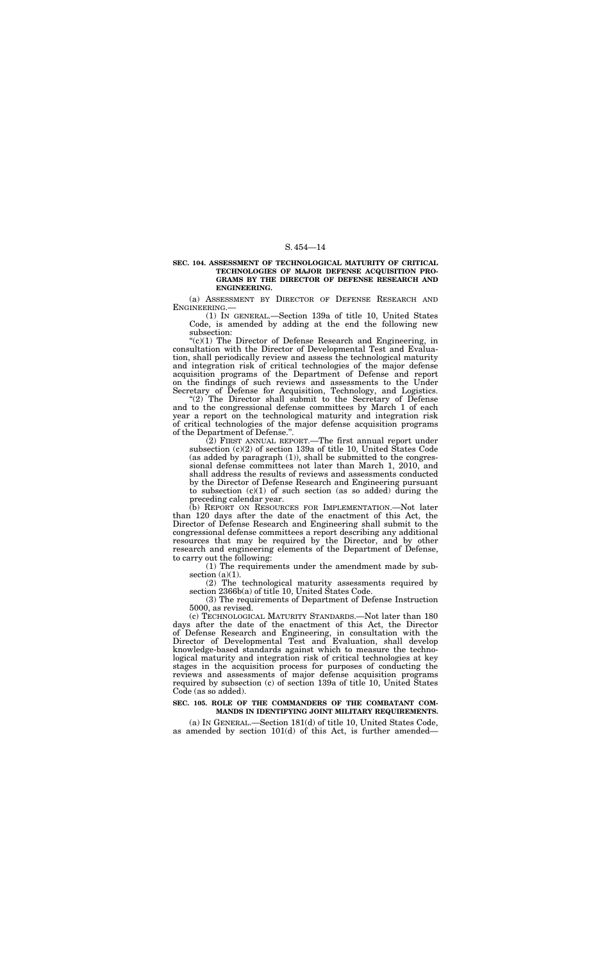#### **SEC. 104. ASSESSMENT OF TECHNOLOGICAL MATURITY OF CRITICAL TECHNOLOGIES OF MAJOR DEFENSE ACQUISITION PRO-GRAMS BY THE DIRECTOR OF DEFENSE RESEARCH AND ENGINEERING.**

(a) ASSESSMENT BY DIRECTOR OF DEFENSE RESEARCH AND ENGINEERING.—

(1) IN GENERAL.—Section 139a of title 10, United States Code, is amended by adding at the end the following new subsection:

 $C<sup>(c)</sup>(1)$  The Director of Defense Research and Engineering, in consultation with the Director of Developmental Test and Evaluation, shall periodically review and assess the technological maturity and integration risk of critical technologies of the major defense acquisition programs of the Department of Defense and report on the findings of such reviews and assessments to the Under Secretary of Defense for Acquisition, Technology, and Logistics.

"(2) The Director shall submit to the Secretary of Defense and to the congressional defense committees by March 1 of each year a report on the technological maturity and integration risk of critical technologies of the major defense acquisition programs of the Department of Defense.''.

(1) The requirements under the amendment made by subsection  $(a)(1)$ .

(2) FIRST ANNUAL REPORT.—The first annual report under subsection (c)(2) of section 139a of title 10, United States Code (as added by paragraph (1)), shall be submitted to the congressional defense committees not later than March 1, 2010, and shall address the results of reviews and assessments conducted by the Director of Defense Research and Engineering pursuant to subsection  $(c)(1)$  of such section (as so added) during the preceding calendar year.

(b) REPORT ON RESOURCES FOR IMPLEMENTATION.—Not later than 120 days after the date of the enactment of this Act, the Director of Defense Research and Engineering shall submit to the congressional defense committees a report describing any additional resources that may be required by the Director, and by other research and engineering elements of the Department of Defense, to carry out the following:

(2) The technological maturity assessments required by section 2366b(a) of title 10, United States Code.

(3) The requirements of Department of Defense Instruction 5000, as revised.

(c) TECHNOLOGICAL MATURITY STANDARDS.—Not later than 180 days after the date of the enactment of this Act, the Director of Defense Research and Engineering, in consultation with the Director of Developmental Test and Evaluation, shall develop knowledge-based standards against which to measure the technological maturity and integration risk of critical technologies at key stages in the acquisition process for purposes of conducting the reviews and assessments of major defense acquisition programs required by subsection (c) of section 139a of title 10, United States Code (as so added).

#### **SEC. 105. ROLE OF THE COMMANDERS OF THE COMBATANT COM-MANDS IN IDENTIFYING JOINT MILITARY REQUIREMENTS.**

(a) IN GENERAL.—Section 181(d) of title 10, United States Code, as amended by section 101(d) of this Act, is further amended—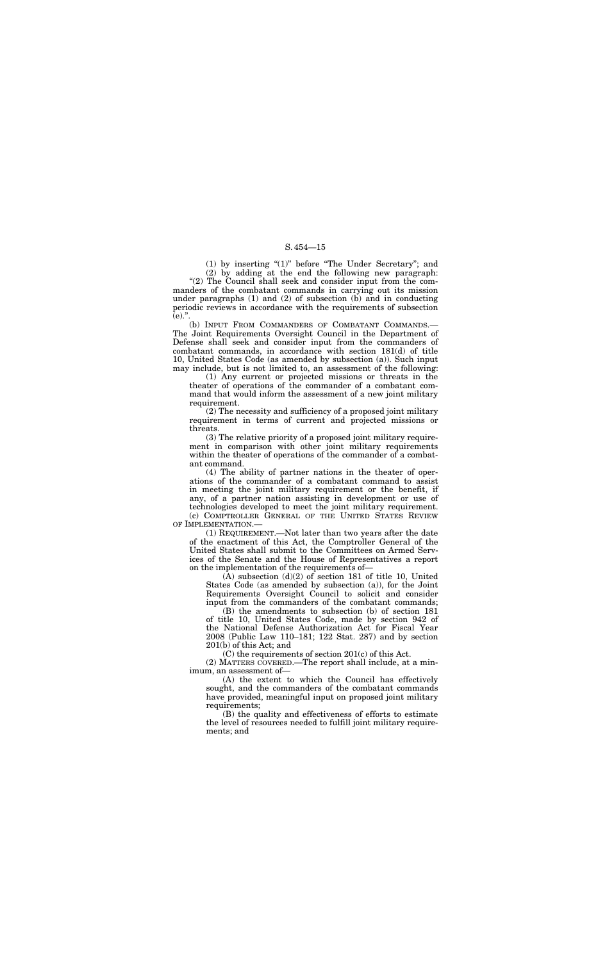(1) by inserting ''(1)'' before ''The Under Secretary''; and (2) by adding at the end the following new paragraph:

"(2) The Council shall seek and consider input from the commanders of the combatant commands in carrying out its mission under paragraphs  $(1)$  and  $(2)$  of subsection  $(b)$  and in conducting periodic reviews in accordance with the requirements of subsection  $(e)$ .".

(b) INPUT FROM COMMANDERS OF COMBATANT COMMANDS.— The Joint Requirements Oversight Council in the Department of Defense shall seek and consider input from the commanders of combatant commands, in accordance with section 181(d) of title 10, United States Code (as amended by subsection (a)). Such input may include, but is not limited to, an assessment of the following:

(1) Any current or projected missions or threats in the theater of operations of the commander of a combatant command that would inform the assessment of a new joint military requirement.

(2) The necessity and sufficiency of a proposed joint military requirement in terms of current and projected missions or threats.

(3) The relative priority of a proposed joint military requirement in comparison with other joint military requirements within the theater of operations of the commander of a combatant command.

(4) The ability of partner nations in the theater of operations of the commander of a combatant command to assist in meeting the joint military requirement or the benefit, if any, of a partner nation assisting in development or use of technologies developed to meet the joint military requirement. (c) COMPTROLLER GENERAL OF THE UNITED STATES REVIEW OF IMPLEMENTATION.—

(1) REQUIREMENT.—Not later than two years after the date of the enactment of this Act, the Comptroller General of the United States shall submit to the Committees on Armed Services of the Senate and the House of Representatives a report on the implementation of the requirements of—

(A) subsection (d)(2) of section 181 of title 10, United States Code (as amended by subsection (a)), for the Joint Requirements Oversight Council to solicit and consider input from the commanders of the combatant commands;

(B) the amendments to subsection (b) of section 181 of title 10, United States Code, made by section 942 of the National Defense Authorization Act for Fiscal Year 2008 (Public Law 110–181; 122 Stat. 287) and by section 201(b) of this Act; and

(C) the requirements of section 201(c) of this Act.

(2) MATTERS COVERED.—The report shall include, at a minimum, an assessment of—

(A) the extent to which the Council has effectively sought, and the commanders of the combatant commands have provided, meaningful input on proposed joint military requirements;

(B) the quality and effectiveness of efforts to estimate the level of resources needed to fulfill joint military requirements; and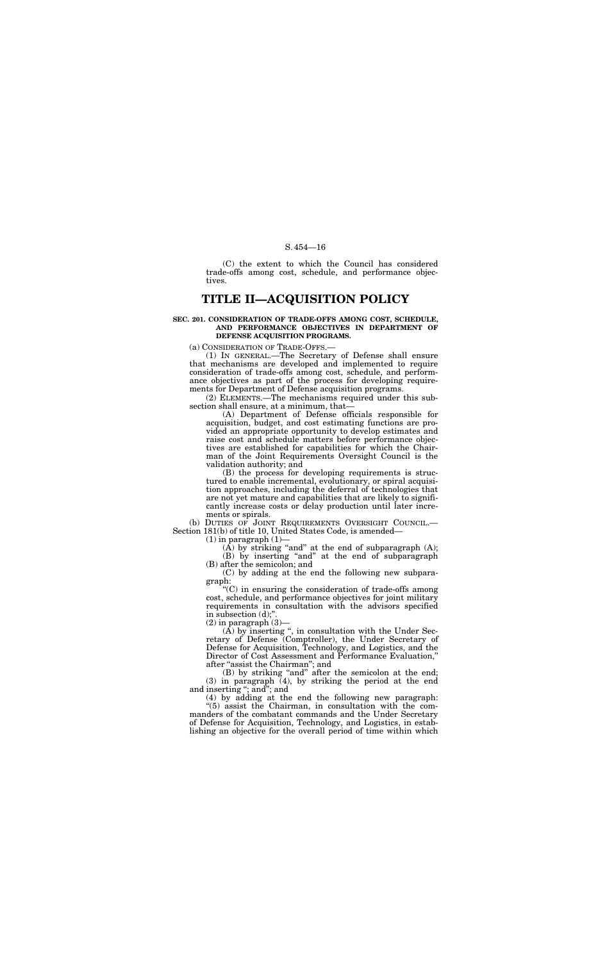(C) the extent to which the Council has considered trade-offs among cost, schedule, and performance objectives.

## **TITLE II—ACQUISITION POLICY**

#### **SEC. 201. CONSIDERATION OF TRADE-OFFS AMONG COST, SCHEDULE, AND PERFORMANCE OBJECTIVES IN DEPARTMENT OF DEFENSE ACQUISITION PROGRAMS.**

(a) CONSIDERATION OF TRADE-OFFS.—

(1) IN GENERAL.—The Secretary of Defense shall ensure that mechanisms are developed and implemented to require consideration of trade-offs among cost, schedule, and performance objectives as part of the process for developing requirements for Department of Defense acquisition programs.

(2) ELEMENTS.—The mechanisms required under this subsection shall ensure, at a minimum, that—

''(C) in ensuring the consideration of trade-offs among cost, schedule, and performance objectives for joint military requirements in consultation with the advisors specified in subsection  $\overrightarrow{d}$ ;"

 $(2)$  in paragraph  $(3)$ -

(A) Department of Defense officials responsible for acquisition, budget, and cost estimating functions are provided an appropriate opportunity to develop estimates and raise cost and schedule matters before performance objectives are established for capabilities for which the Chairman of the Joint Requirements Oversight Council is the validation authority; and

 $(A)$  by inserting ", in consultation with the Under Secretary of Defense (Comptroller), the Under Secretary of Defense for Acquisition, Technology, and Logistics, and the Director of Cost Assessment and Performance Evaluation,'' after ''assist the Chairman''; and

(B) the process for developing requirements is structured to enable incremental, evolutionary, or spiral acquisition approaches, including the deferral of technologies that are not yet mature and capabilities that are likely to significantly increase costs or delay production until later increments or spirals.

(b) DUTIES OF JOINT REQUIREMENTS OVERSIGHT COUNCIL.— Section 181(b) of title 10, United States Code, is amended—

 $(1)$  in paragraph  $(1)$ —

(A) by striking "and" at the end of subparagraph  $(A)$ ; (B) by inserting "and" at the end of subparagraph

(B) after the semicolon; and (C) by adding at the end the following new subparagraph:

(B) by striking ''and'' after the semicolon at the end; (3) in paragraph (4), by striking the period at the end and inserting ''; and''; and

(4) by adding at the end the following new paragraph: ''(5) assist the Chairman, in consultation with the commanders of the combatant commands and the Under Secretary of Defense for Acquisition, Technology, and Logistics, in establishing an objective for the overall period of time within which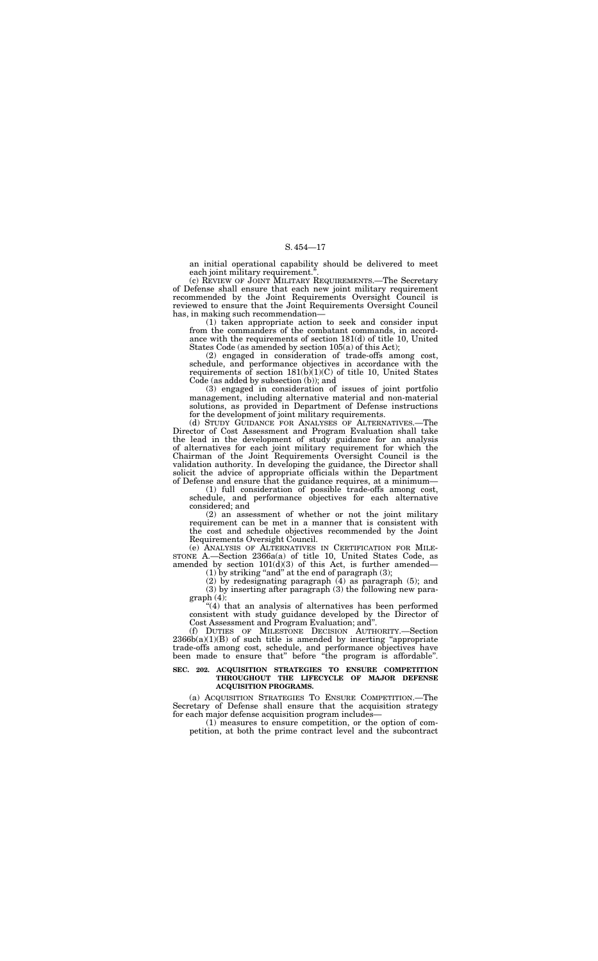an initial operational capability should be delivered to meet each joint military requirement.''.

(c) REVIEW OF JOINT MILITARY REQUIREMENTS.—The Secretary of Defense shall ensure that each new joint military requirement recommended by the Joint Requirements Oversight Council is reviewed to ensure that the Joint Requirements Oversight Council has, in making such recommendation—

(1) taken appropriate action to seek and consider input from the commanders of the combatant commands, in accordance with the requirements of section 181(d) of title 10, United States Code (as amended by section 105(a) of this Act);

(2) engaged in consideration of trade-offs among cost, schedule, and performance objectives in accordance with the requirements of section  $181(b)(1)(C)$  of title 10, United States Code (as added by subsection (b)); and

(e) ANALYSIS OF ALTERNATIVES IN CERTIFICATION FOR MILE-STONE A.—Section 2366a(a) of title 10, United States Code, as amended by section  $101(d)(3)$  of this Act, is further amended—

(1) by striking "and" at the end of paragraph  $(3)$ ;

(3) engaged in consideration of issues of joint portfolio management, including alternative material and non-material solutions, as provided in Department of Defense instructions for the development of joint military requirements.

"(4) that an analysis of alternatives has been performed consistent with study guidance developed by the Director of Cost Assessment and Program Evaluation; and''.

(d) STUDY GUIDANCE FOR ANALYSES OF ALTERNATIVES.—The Director of Cost Assessment and Program Evaluation shall take the lead in the development of study guidance for an analysis of alternatives for each joint military requirement for which the Chairman of the Joint Requirements Oversight Council is the validation authority. In developing the guidance, the Director shall solicit the advice of appropriate officials within the Department of Defense and ensure that the guidance requires, at a minimum—

(1) full consideration of possible trade-offs among cost, schedule, and performance objectives for each alternative considered; and

(2) an assessment of whether or not the joint military requirement can be met in a manner that is consistent with the cost and schedule objectives recommended by the Joint Requirements Oversight Council.

(2) by redesignating paragraph (4) as paragraph (5); and (3) by inserting after paragraph (3) the following new paragraph (4):

(f) DUTIES OF MILESTONE DECISION AUTHORITY.—Section  $2366b(a)(1)(B)$  of such title is amended by inserting "appropriate" trade-offs among cost, schedule, and performance objectives have been made to ensure that'' before ''the program is affordable''.

#### **SEC. 202. ACQUISITION STRATEGIES TO ENSURE COMPETITION THROUGHOUT THE LIFECYCLE OF MAJOR DEFENSE ACQUISITION PROGRAMS.**

(a) ACQUISITION STRATEGIES TO ENSURE COMPETITION.—The Secretary of Defense shall ensure that the acquisition strategy for each major defense acquisition program includes—

(1) measures to ensure competition, or the option of competition, at both the prime contract level and the subcontract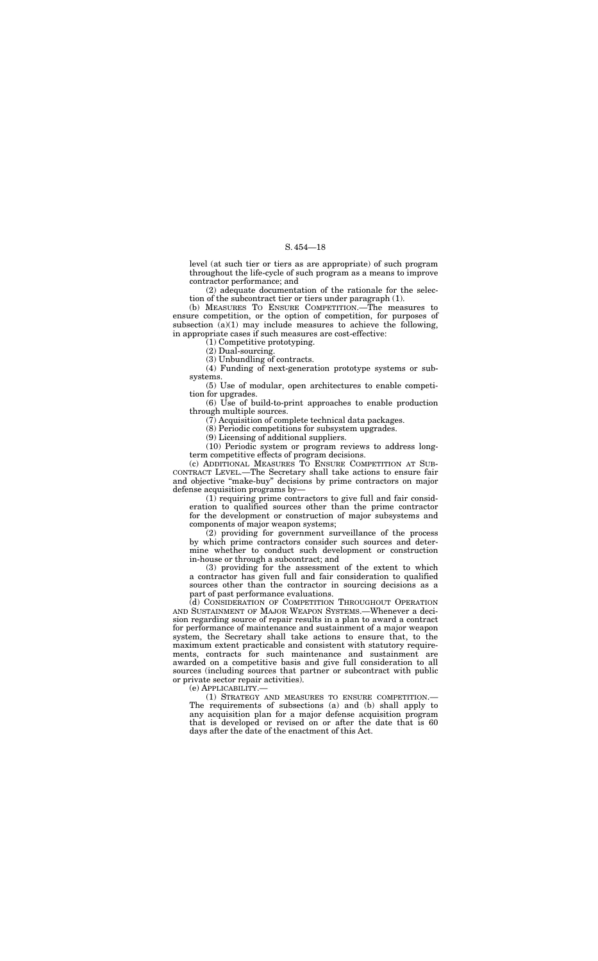level (at such tier or tiers as are appropriate) of such program throughout the life-cycle of such program as a means to improve contractor performance; and

(2) adequate documentation of the rationale for the selection of the subcontract tier or tiers under paragraph (1).

(b) MEASURES TO ENSURE COMPETITION.—The measures to ensure competition, or the option of competition, for purposes of subsection  $(a)(1)$  may include measures to achieve the following, in appropriate cases if such measures are cost-effective:

 $(6)$  Use of build-to-print approaches to enable production through multiple sources.

(1) Competitive prototyping.

(2) Dual-sourcing.

(3) Unbundling of contracts.

(4) Funding of next-generation prototype systems or subsystems.

(5) Use of modular, open architectures to enable competition for upgrades.

(7) Acquisition of complete technical data packages.

(8) Periodic competitions for subsystem upgrades.

(9) Licensing of additional suppliers.

(10) Periodic system or program reviews to address longterm competitive effects of program decisions.

(c) ADDITIONAL MEASURES TO ENSURE COMPETITION AT SUB-CONTRACT LEVEL.—The Secretary shall take actions to ensure fair and objective ''make-buy'' decisions by prime contractors on major defense acquisition programs by—

(1) requiring prime contractors to give full and fair consideration to qualified sources other than the prime contractor for the development or construction of major subsystems and components of major weapon systems;

(2) providing for government surveillance of the process by which prime contractors consider such sources and determine whether to conduct such development or construction in-house or through a subcontract; and

(3) providing for the assessment of the extent to which a contractor has given full and fair consideration to qualified sources other than the contractor in sourcing decisions as a part of past performance evaluations.

(d) CONSIDERATION OF COMPETITION THROUGHOUT OPERATION AND SUSTAINMENT OF MAJOR WEAPON SYSTEMS.—Whenever a decision regarding source of repair results in a plan to award a contract for performance of maintenance and sustainment of a major weapon system, the Secretary shall take actions to ensure that, to the maximum extent practicable and consistent with statutory requirements, contracts for such maintenance and sustainment are awarded on a competitive basis and give full consideration to all sources (including sources that partner or subcontract with public or private sector repair activities).

(e) APPLICABILITY.—

(1) STRATEGY AND MEASURES TO ENSURE COMPETITION.— The requirements of subsections (a) and (b) shall apply to any acquisition plan for a major defense acquisition program that is developed or revised on or after the date that is 60 days after the date of the enactment of this Act.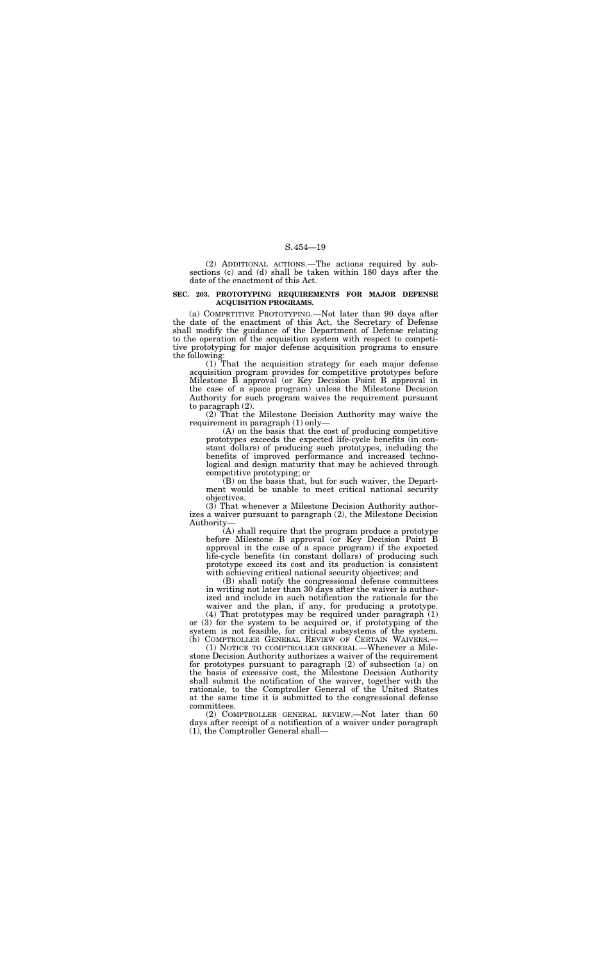(2) ADDITIONAL ACTIONS.—The actions required by subsections (c) and (d) shall be taken within 180 days after the date of the enactment of this Act.

#### **SEC. 203. PROTOTYPING REQUIREMENTS FOR MAJOR DEFENSE ACQUISITION PROGRAMS.**

(a) COMPETITIVE PROTOTYPING.—Not later than 90 days after the date of the enactment of this Act, the Secretary of Defense shall modify the guidance of the Department of Defense relating to the operation of the acquisition system with respect to competitive prototyping for major defense acquisition programs to ensure the following:

(1) That the acquisition strategy for each major defense acquisition program provides for competitive prototypes before Milestone B approval (or Key Decision Point B approval in the case of a space program) unless the Milestone Decision Authority for such program waives the requirement pursuant to paragraph (2).

(2) That the Milestone Decision Authority may waive the requirement in paragraph (1) only—

(B) shall notify the congressional defense committees in writing not later than 30 days after the waiver is authorized and include in such notification the rationale for the waiver and the plan, if any, for producing a prototype.

(4) That prototypes may be required under paragraph (1) or (3) for the system to be acquired or, if prototyping of the system is not feasible, for critical subsystems of the system. (b) COMPTROLLER GENERAL REVIEW OF CERTAIN WAIVERS.

(A) on the basis that the cost of producing competitive prototypes exceeds the expected life-cycle benefits (in constant dollars) of producing such prototypes, including the benefits of improved performance and increased technological and design maturity that may be achieved through competitive prototyping; or

(B) on the basis that, but for such waiver, the Department would be unable to meet critical national security objectives.

(3) That whenever a Milestone Decision Authority authorizes a waiver pursuant to paragraph (2), the Milestone Decision Authority—

(A) shall require that the program produce a prototype before Milestone B approval (or Key Decision Point B approval in the case of a space program) if the expected life-cycle benefits (in constant dollars) of producing such prototype exceed its cost and its production is consistent with achieving critical national security objectives; and

(1) NOTICE TO COMPTROLLER GENERAL.—Whenever a Milestone Decision Authority authorizes a waiver of the requirement for prototypes pursuant to paragraph (2) of subsection (a) on the basis of excessive cost, the Milestone Decision Authority shall submit the notification of the waiver, together with the rationale, to the Comptroller General of the United States at the same time it is submitted to the congressional defense committees.

(2) COMPTROLLER GENERAL REVIEW.—Not later than 60 days after receipt of a notification of a waiver under paragraph (1), the Comptroller General shall—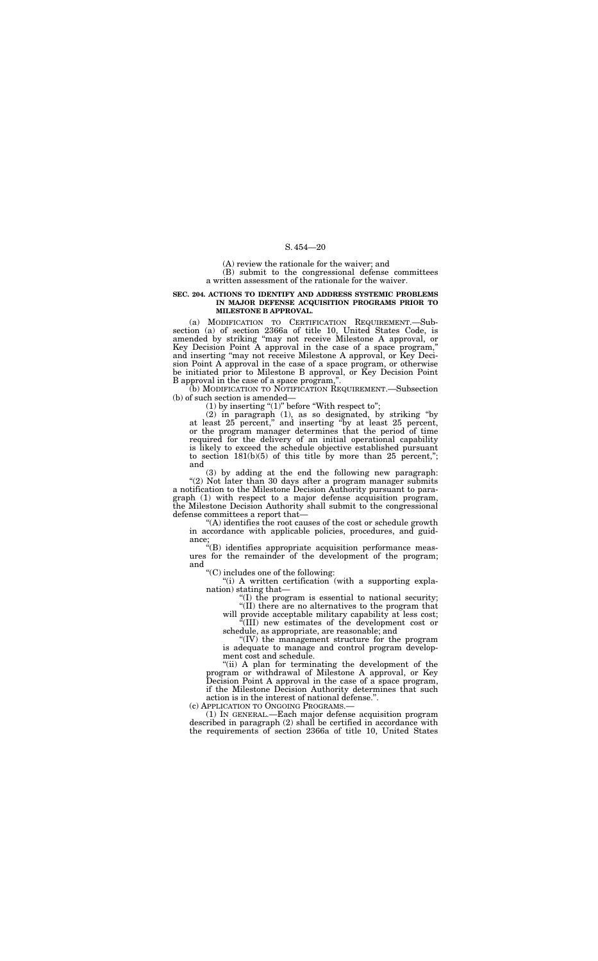(A) review the rationale for the waiver; and

(B) submit to the congressional defense committees a written assessment of the rationale for the waiver.

#### **SEC. 204. ACTIONS TO IDENTIFY AND ADDRESS SYSTEMIC PROBLEMS IN MAJOR DEFENSE ACQUISITION PROGRAMS PRIOR TO MILESTONE B APPROVAL.**

(a) MODIFICATION TO CERTIFICATION REQUIREMENT.—Subsection (a) of section 2366a of title 10, United States Code, is amended by striking ''may not receive Milestone A approval, or Key Decision Point A approval in the case of a space program,'' and inserting ''may not receive Milestone A approval, or Key Decision Point A approval in the case of a space program, or otherwise be initiated prior to Milestone B approval, or Key Decision Point B approval in the case of a space program,''.

(b) MODIFICATION TO NOTIFICATION REQUIREMENT.—Subsection (b) of such section is amended—

 $(1)$  by inserting " $(1)$ " before "With respect to";

"(A) identifies the root causes of the cost or schedule growth in accordance with applicable policies, procedures, and guidance;

"(i) A written certification (with a supporting explanation) stating that—

(2) in paragraph (1), as so designated, by striking ''by at least 25 percent,'' and inserting ''by at least 25 percent, or the program manager determines that the period of time required for the delivery of an initial operational capability is likely to exceed the schedule objective established pursuant to section  $181(b)(5)$  of this title by more than 25 percent,"; and

"(ii) A plan for terminating the development of the program or withdrawal of Milestone A approval, or Key Decision Point A approval in the case of a space program, if the Milestone Decision Authority determines that such

action is in the interest of national defense.".<br>
(c) APPLICATION TO ONGOING PROGRAMS.—

(1) IN GENERAL.—Each major defense acquisition program described in paragraph (2) shall be certified in accordance with the requirements of section 2366a of title 10, United States

(3) by adding at the end the following new paragraph: "(2) Not later than 30 days after a program manager submits a notification to the Milestone Decision Authority pursuant to paragraph (1) with respect to a major defense acquisition program, the Milestone Decision Authority shall submit to the congressional defense committees a report that—

''(B) identifies appropriate acquisition performance measures for the remainder of the development of the program; and

''(C) includes one of the following:

''(I) the program is essential to national security; ''(II) there are no alternatives to the program that

will provide acceptable military capability at less cost; ''(III) new estimates of the development cost or

schedule, as appropriate, are reasonable; and

''(IV) the management structure for the program is adequate to manage and control program development cost and schedule.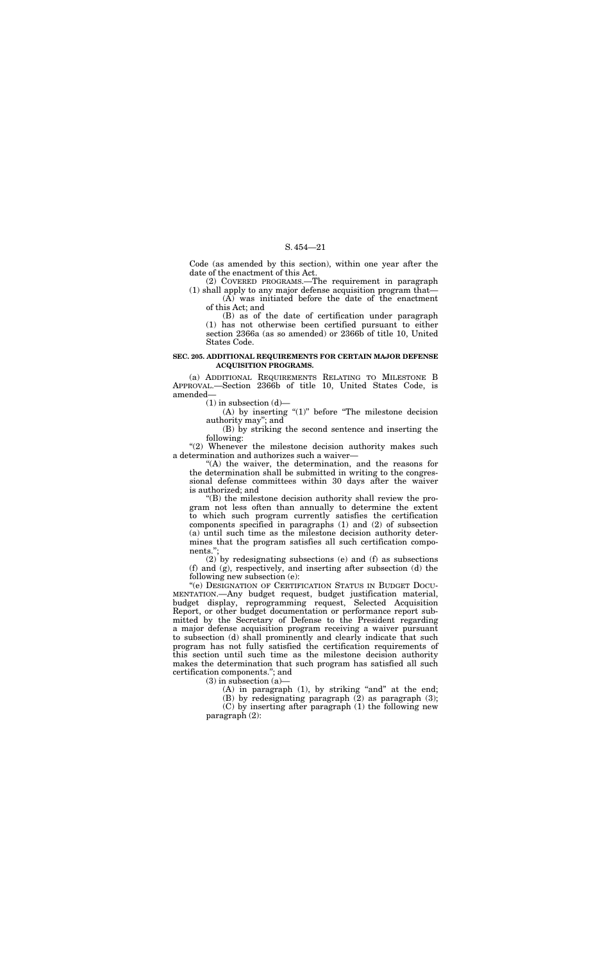Code (as amended by this section), within one year after the date of the enactment of this Act.

(2) COVERED PROGRAMS.—The requirement in paragraph (1) shall apply to any major defense acquisition program that—

(A) was initiated before the date of the enactment of this Act; and

(B) as of the date of certification under paragraph (1) has not otherwise been certified pursuant to either section 2366a (as so amended) or 2366b of title 10, United States Code.

(A) by inserting " $(1)$ " before "The milestone decision authority may''; and

"(2) Whenever the milestone decision authority makes such a determination and authorizes such a waiver—

### **SEC. 205. ADDITIONAL REQUIREMENTS FOR CERTAIN MAJOR DEFENSE ACQUISITION PROGRAMS.**

(a) ADDITIONAL REQUIREMENTS RELATING TO MILESTONE B APPROVAL.—Section 2366b of title 10, United States Code, is amended—

 $(1)$  in subsection  $(d)$ —

(B) by striking the second sentence and inserting the following:

''(A) the waiver, the determination, and the reasons for the determination shall be submitted in writing to the congressional defense committees within 30 days after the waiver is authorized; and

 $(C)$  by inserting after paragraph  $(1)$  the following new paragraph (2):

''(B) the milestone decision authority shall review the program not less often than annually to determine the extent to which such program currently satisfies the certification components specified in paragraphs (1) and (2) of subsection (a) until such time as the milestone decision authority determines that the program satisfies all such certification components.'';

(2) by redesignating subsections (e) and (f) as subsections (f) and (g), respectively, and inserting after subsection (d) the following new subsection (e):

''(e) DESIGNATION OF CERTIFICATION STATUS IN BUDGET DOCU-MENTATION.—Any budget request, budget justification material, budget display, reprogramming request, Selected Acquisition Report, or other budget documentation or performance report submitted by the Secretary of Defense to the President regarding a major defense acquisition program receiving a waiver pursuant to subsection (d) shall prominently and clearly indicate that such program has not fully satisfied the certification requirements of this section until such time as the milestone decision authority makes the determination that such program has satisfied all such certification components.''; and

 $(3)$  in subsection  $(a)$ -

(A) in paragraph  $(1)$ , by striking "and" at the end;

(B) by redesignating paragraph (2) as paragraph (3);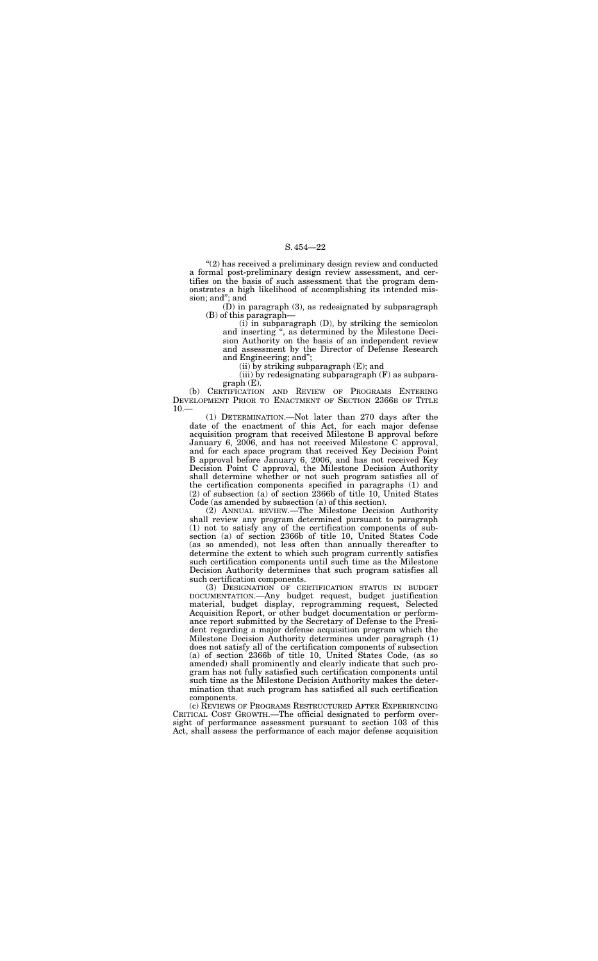''(2) has received a preliminary design review and conducted a formal post-preliminary design review assessment, and certifies on the basis of such assessment that the program demonstrates a high likelihood of accomplishing its intended mission; and''; and

> $(i)$  in subparagraph  $(D)$ , by striking the semicolon and inserting '', as determined by the Milestone Decision Authority on the basis of an independent review and assessment by the Director of Defense Research and Engineering; and'';

(D) in paragraph (3), as redesignated by subparagraph (B) of this paragraph—

(iii) by redesignating subparagraph (F) as subpara $graph(E)$ .

(b) CERTIFICATION AND REVIEW OF PROGRAMS ENTERING DEVELOPMENT PRIOR TO ENACTMENT OF SECTION 2366B OF TITLE  $10 -$ 

(ii) by striking subparagraph (E); and

(1) DETERMINATION.—Not later than 270 days after the date of the enactment of this Act, for each major defense acquisition program that received Milestone B approval before January 6, 2006, and has not received Milestone C approval, and for each space program that received Key Decision Point B approval before January 6, 2006, and has not received Key Decision Point C approval, the Milestone Decision Authority shall determine whether or not such program satisfies all of the certification components specified in paragraphs (1) and  $(2)$  of subsection (a) of section 2366b of title 10, United States Code (as amended by subsection (a) of this section).

(2) ANNUAL REVIEW.—The Milestone Decision Authority shall review any program determined pursuant to paragraph (1) not to satisfy any of the certification components of subsection (a) of section 2366b of title 10, United States Code (as so amended), not less often than annually thereafter to determine the extent to which such program currently satisfies such certification components until such time as the Milestone Decision Authority determines that such program satisfies all such certification components.

(3) DESIGNATION OF CERTIFICATION STATUS IN BUDGET DOCUMENTATION.—Any budget request, budget justification material, budget display, reprogramming request, Selected Acquisition Report, or other budget documentation or performance report submitted by the Secretary of Defense to the President regarding a major defense acquisition program which the Milestone Decision Authority determines under paragraph (1) does not satisfy all of the certification components of subsection (a) of section 2366b of title 10, United States Code, (as so amended) shall prominently and clearly indicate that such program has not fully satisfied such certification components until such time as the Milestone Decision Authority makes the determination that such program has satisfied all such certification components.

(c) REVIEWS OF PROGRAMS RESTRUCTURED AFTER EXPERIENCING CRITICAL COST GROWTH.—The official designated to perform oversight of performance assessment pursuant to section 103 of this Act, shall assess the performance of each major defense acquisition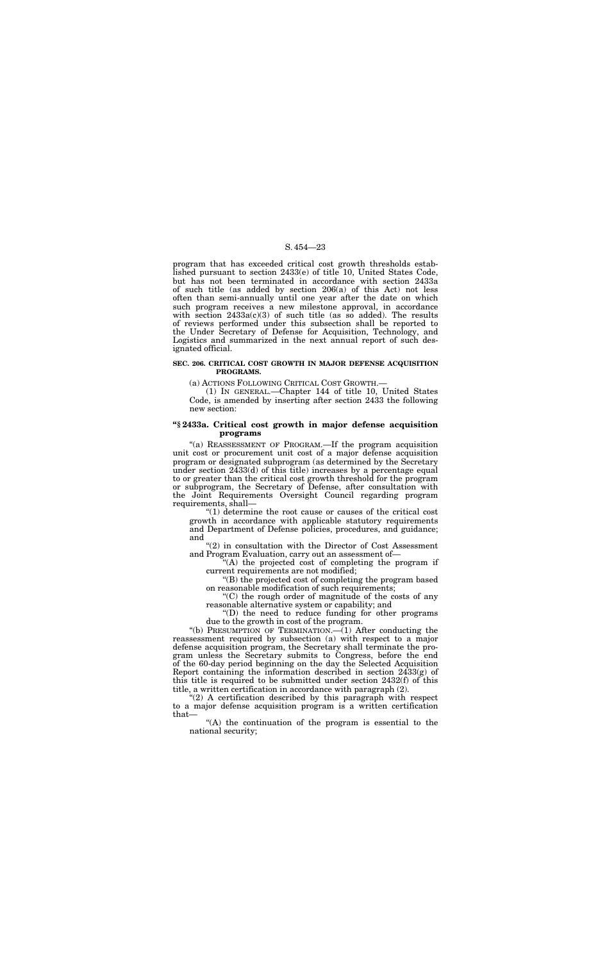program that has exceeded critical cost growth thresholds established pursuant to section 2433(e) of title 10, United States Code, but has not been terminated in accordance with section 2433a of such title (as added by section 206(a) of this Act) not less often than semi-annually until one year after the date on which such program receives a new milestone approval, in accordance with section  $2433a(c)(3)$  of such title (as so added). The results of reviews performed under this subsection shall be reported to the Under Secretary of Defense for Acquisition, Technology, and Logistics and summarized in the next annual report of such designated official.

#### **SEC. 206. CRITICAL COST GROWTH IN MAJOR DEFENSE ACQUISITION PROGRAMS.**

"(a) REASSESSMENT OF PROGRAM.—If the program acquisition unit cost or procurement unit cost of a major defense acquisition program or designated subprogram (as determined by the Secretary under section 2433(d) of this title) increases by a percentage equal to or greater than the critical cost growth threshold for the program or subprogram, the Secretary of Defense, after consultation with the Joint Requirements Oversight Council regarding program requirements, shall—

(a) ACTIONS FOLLOWING CRITICAL COST GROWTH.—

(1) IN GENERAL.—Chapter 144 of title 10, United States Code, is amended by inserting after section 2433 the following new section:

"(2) in consultation with the Director of Cost Assessment and Program Evaluation, carry out an assessment of—

 $(A)$  the projected cost of completing the program if current requirements are not modified;

### **''§ 2433a. Critical cost growth in major defense acquisition programs**

"(D) the need to reduce funding for other programs due to the growth in cost of the program.

"(b) PRESUMPTION OF TERMINATION. $\left(-\left(1\right)$  After conducting the reassessment required by subsection (a) with respect to a major defense acquisition program, the Secretary shall terminate the program unless the Secretary submits to Congress, before the end of the 60-day period beginning on the day the Selected Acquisition Report containing the information described in section 2433(g) of this title is required to be submitted under section 2432(f) of this title, a written certification in accordance with paragraph (2).

"(2) A certification described by this paragraph with respect to a major defense acquisition program is a written certification that—

''(1) determine the root cause or causes of the critical cost growth in accordance with applicable statutory requirements and Department of Defense policies, procedures, and guidance; and

''(B) the projected cost of completing the program based on reasonable modification of such requirements;

''(C) the rough order of magnitude of the costs of any reasonable alternative system or capability; and

''(A) the continuation of the program is essential to the national security;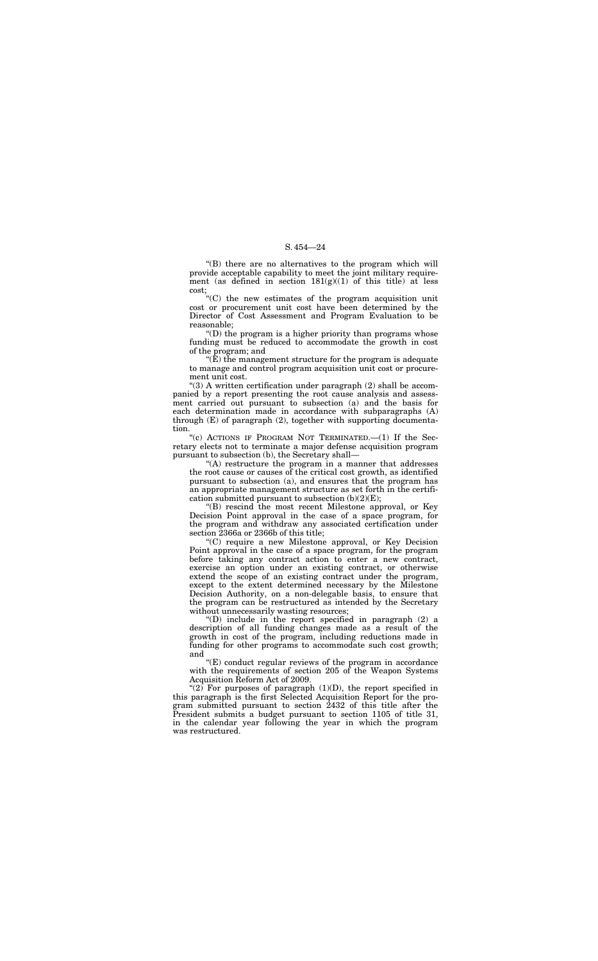''(B) there are no alternatives to the program which will provide acceptable capability to meet the joint military requirement (as defined in section  $181(g)(1)$  of this title) at less cost;

''(C) the new estimates of the program acquisition unit cost or procurement unit cost have been determined by the Director of Cost Assessment and Program Evaluation to be reasonable;

" $(\hat{E})$  the management structure for the program is adequate to manage and control program acquisition unit cost or procurement unit cost.

''(D) the program is a higher priority than programs whose funding must be reduced to accommodate the growth in cost of the program; and

"(c) ACTIONS IF PROGRAM NOT TERMINATED. $-(1)$  If the Secretary elects not to terminate a major defense acquisition program pursuant to subsection (b), the Secretary shall—

''(A) restructure the program in a manner that addresses the root cause or causes of the critical cost growth, as identified pursuant to subsection (a), and ensures that the program has an appropriate management structure as set forth in the certification submitted pursuant to subsection  $(b)(2)(E)$ ;

''(3) A written certification under paragraph (2) shall be accompanied by a report presenting the root cause analysis and assessment carried out pursuant to subsection (a) and the basis for each determination made in accordance with subparagraphs (A) through (E) of paragraph (2), together with supporting documentation.

"(2) For purposes of paragraph  $(1)(D)$ , the report specified in this paragraph is the first Selected Acquisition Report for the program submitted pursuant to section 2432 of this title after the President submits a budget pursuant to section 1105 of title 31, in the calendar year following the year in which the program was restructured.

''(B) rescind the most recent Milestone approval, or Key Decision Point approval in the case of a space program, for the program and withdraw any associated certification under section 2366a or 2366b of this title;

''(C) require a new Milestone approval, or Key Decision Point approval in the case of a space program, for the program before taking any contract action to enter a new contract, exercise an option under an existing contract, or otherwise extend the scope of an existing contract under the program, except to the extent determined necessary by the Milestone Decision Authority, on a non-delegable basis, to ensure that the program can be restructured as intended by the Secretary without unnecessarily wasting resources;

''(D) include in the report specified in paragraph (2) a description of all funding changes made as a result of the growth in cost of the program, including reductions made in funding for other programs to accommodate such cost growth; and

''(E) conduct regular reviews of the program in accordance with the requirements of section 205 of the Weapon Systems Acquisition Reform Act of 2009.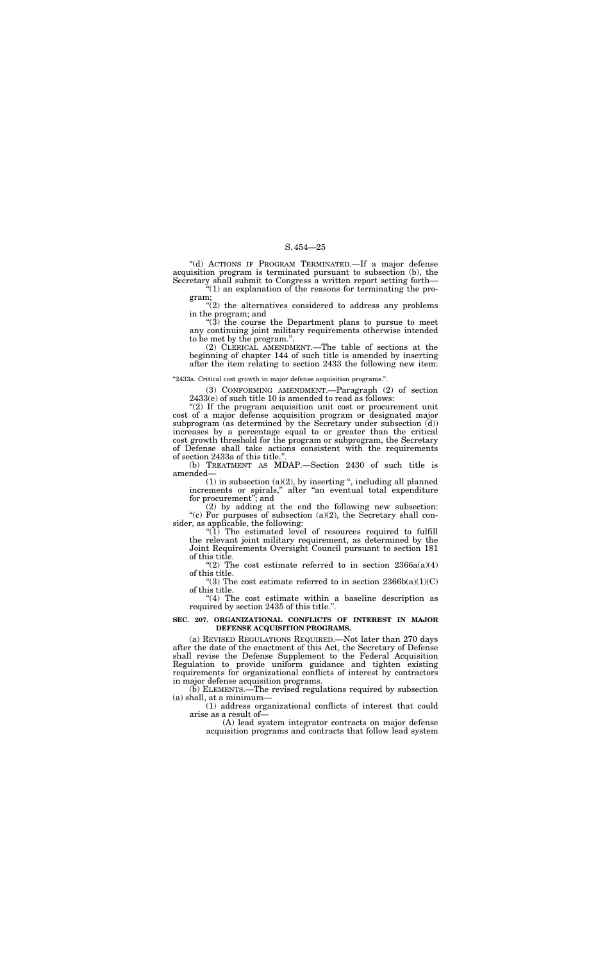''(d) ACTIONS IF PROGRAM TERMINATED.—If a major defense acquisition program is terminated pursuant to subsection (b), the Secretary shall submit to Congress a written report setting forth—

 $\cdot$ (2) the alternatives considered to address any problems in the program; and

''(1) an explanation of the reasons for terminating the program;

 $\cdot$ (3) the course the Department plans to pursue to meet any continuing joint military requirements otherwise intended to be met by the program.''.

(3) CONFORMING AMENDMENT.—Paragraph (2) of section  $2433(e)$  of such title 10 is amended to read as follows:

"(2) If the program acquisition unit cost or procurement unit cost of a major defense acquisition program or designated major subprogram (as determined by the Secretary under subsection (d)) increases by a percentage equal to or greater than the critical cost growth threshold for the program or subprogram, the Secretary of Defense shall take actions consistent with the requirements of section 2433a of this title."

(2) CLERICAL AMENDMENT.—The table of sections at the beginning of chapter 144 of such title is amended by inserting after the item relating to section 2433 the following new item:

### ''2433a. Critical cost growth in major defense acquisition programs.''.

 $(1)$  in subsection  $(a)(2)$ , by inserting ", including all planned increments or spirals,'' after ''an eventual total expenditure for procurement''; and

 $(1)$  The estimated level of resources required to fulfill the relevant joint military requirement, as determined by the Joint Requirements Oversight Council pursuant to section 181 of this title.

"(2) The cost estimate referred to in section  $2366a(a)(4)$ of this title.

"(3) The cost estimate referred to in section  $2366b(a)(1)(C)$ of this title.

"(4) The cost estimate within a baseline description as required by section 2435 of this title.''.

(b) TREATMENT AS MDAP.—Section 2430 of such title is amended—

(2) by adding at the end the following new subsection: "(c) For purposes of subsection (a)(2), the Secretary shall consider, as applicable, the following:

#### **SEC. 207. ORGANIZATIONAL CONFLICTS OF INTEREST IN MAJOR DEFENSE ACQUISITION PROGRAMS.**

(a) REVISED REGULATIONS REQUIRED.—Not later than 270 days after the date of the enactment of this Act, the Secretary of Defense shall revise the Defense Supplement to the Federal Acquisition Regulation to provide uniform guidance and tighten existing requirements for organizational conflicts of interest by contractors in major defense acquisition programs.

(b) ELEMENTS.—The revised regulations required by subsection (a) shall, at a minimum—

(1) address organizational conflicts of interest that could arise as a result of—

(A) lead system integrator contracts on major defense acquisition programs and contracts that follow lead system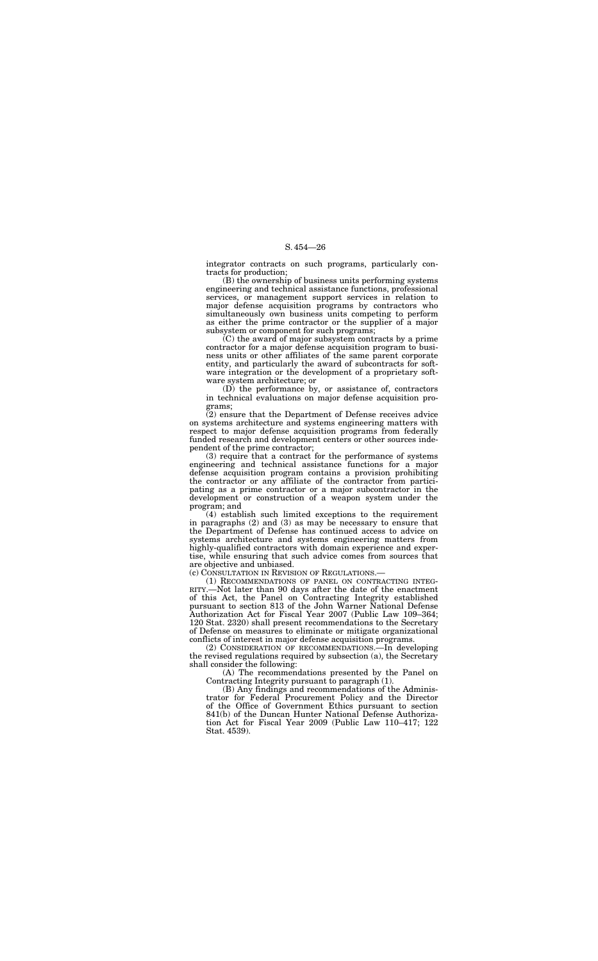(B) the ownership of business units performing systems engineering and technical assistance functions, professional services, or management support services in relation to major defense acquisition programs by contractors who simultaneously own business units competing to perform as either the prime contractor or the supplier of a major subsystem or component for such programs;

integrator contracts on such programs, particularly contracts for production;

(C) the award of major subsystem contracts by a prime contractor for a major defense acquisition program to business units or other affiliates of the same parent corporate entity, and particularly the award of subcontracts for software integration or the development of a proprietary software system architecture; or

(D) the performance by, or assistance of, contractors in technical evaluations on major defense acquisition programs;

(2) ensure that the Department of Defense receives advice on systems architecture and systems engineering matters with respect to major defense acquisition programs from federally funded research and development centers or other sources independent of the prime contractor;

(A) The recommendations presented by the Panel on Contracting Integrity pursuant to paragraph (1).

(3) require that a contract for the performance of systems engineering and technical assistance functions for a major defense acquisition program contains a provision prohibiting the contractor or any affiliate of the contractor from participating as a prime contractor or a major subcontractor in the development or construction of a weapon system under the program; and

(4) establish such limited exceptions to the requirement in paragraphs (2) and (3) as may be necessary to ensure that the Department of Defense has continued access to advice on systems architecture and systems engineering matters from highly-qualified contractors with domain experience and expertise, while ensuring that such advice comes from sources that are objective and unbiased.

(c) CONSULTATION IN REVISION OF REGULATIONS.—

(1) RECOMMENDATIONS OF PANEL ON CONTRACTING INTEG-RITY.—Not later than 90 days after the date of the enactment of this Act, the Panel on Contracting Integrity established pursuant to section 813 of the John Warner National Defense Authorization Act for Fiscal Year 2007 (Public Law 109–364; 120 Stat. 2320) shall present recommendations to the Secretary of Defense on measures to eliminate or mitigate organizational conflicts of interest in major defense acquisition programs.

(2) CONSIDERATION OF RECOMMENDATIONS.—In developing the revised regulations required by subsection (a), the Secretary shall consider the following:

(B) Any findings and recommendations of the Administrator for Federal Procurement Policy and the Director of the Office of Government Ethics pursuant to section 841(b) of the Duncan Hunter National Defense Authorization Act for Fiscal Year 2009 (Public Law 110–417; 122 Stat. 4539).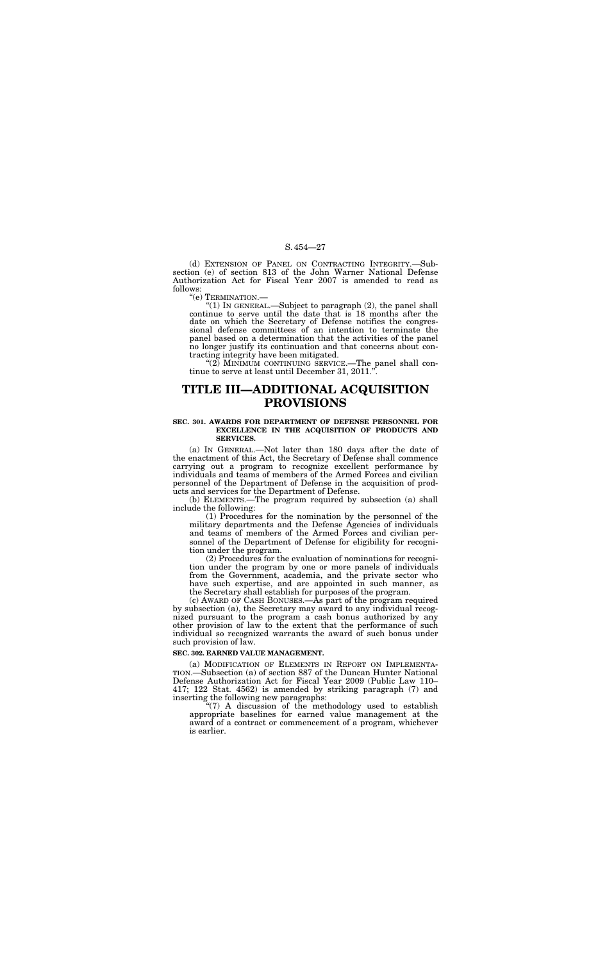(d) EXTENSION OF PANEL ON CONTRACTING INTEGRITY.—Subsection (e) of section 813 of the John Warner National Defense Authorization Act for Fiscal Year 2007 is amended to read as follows:<br>"(e) TERMINATION.—

"(1) IN GENERAL.—Subject to paragraph  $(2)$ , the panel shall continue to serve until the date that is 18 months after the date on which the Secretary of Defense notifies the congressional defense committees of an intention to terminate the panel based on a determination that the activities of the panel no longer justify its continuation and that concerns about contracting integrity have been mitigated.

"(2) MINIMUM CONTINUING SERVICE.—The panel shall continue to serve at least until December 31, 2011.".

# **TITLE III—ADDITIONAL ACQUISITION PROVISIONS**

#### **SEC. 301. AWARDS FOR DEPARTMENT OF DEFENSE PERSONNEL FOR EXCELLENCE IN THE ACQUISITION OF PRODUCTS AND SERVICES.**

(a) IN GENERAL.—Not later than 180 days after the date of the enactment of this Act, the Secretary of Defense shall commence carrying out a program to recognize excellent performance by individuals and teams of members of the Armed Forces and civilian personnel of the Department of Defense in the acquisition of products and services for the Department of Defense.

(b) ELEMENTS.—The program required by subsection (a) shall include the following:

"(7) A discussion of the methodology used to establish appropriate baselines for earned value management at the award of a contract or commencement of a program, whichever is earlier.

(1) Procedures for the nomination by the personnel of the military departments and the Defense Agencies of individuals and teams of members of the Armed Forces and civilian personnel of the Department of Defense for eligibility for recognition under the program.

(2) Procedures for the evaluation of nominations for recognition under the program by one or more panels of individuals from the Government, academia, and the private sector who have such expertise, and are appointed in such manner, as the Secretary shall establish for purposes of the program.

(c) AWARD OF CASH BONUSES.—As part of the program required by subsection (a), the Secretary may award to any individual recognized pursuant to the program a cash bonus authorized by any other provision of law to the extent that the performance of such individual so recognized warrants the award of such bonus under such provision of law.

#### **SEC. 302. EARNED VALUE MANAGEMENT.**

(a) MODIFICATION OF ELEMENTS IN REPORT ON IMPLEMENTA-TION.—Subsection (a) of section 887 of the Duncan Hunter National Defense Authorization Act for Fiscal Year 2009 (Public Law 110– 417; 122 Stat. 4562) is amended by striking paragraph (7) and inserting the following new paragraphs: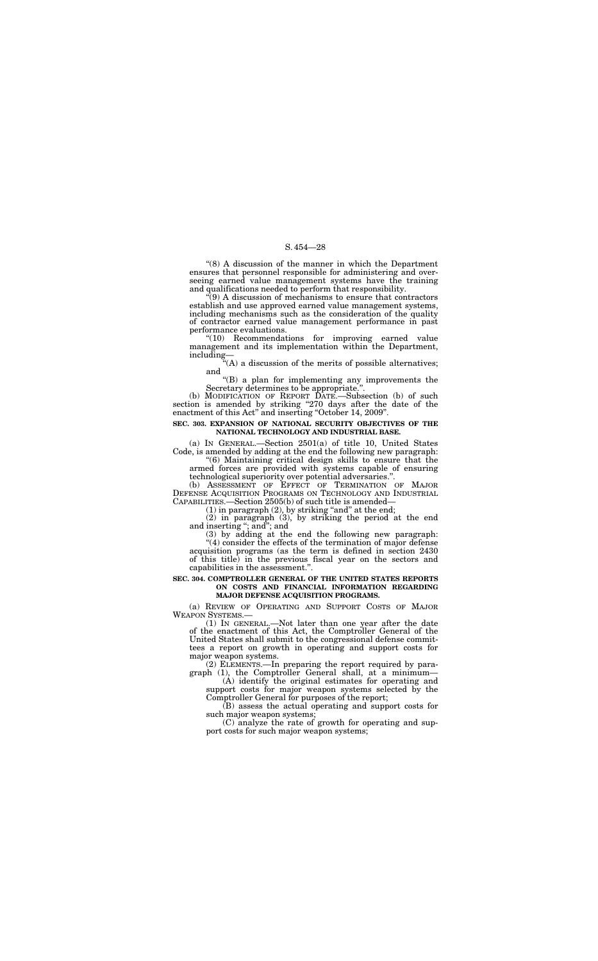''(8) A discussion of the manner in which the Department ensures that personnel responsible for administering and overseeing earned value management systems have the training and qualifications needed to perform that responsibility.

 $\hat{f}(9)$  A discussion of mechanisms to ensure that contractors establish and use approved earned value management systems, including mechanisms such as the consideration of the quality of contractor earned value management performance in past performance evaluations.

(b) MODIFICATION OF REPORT DATE.—Subsection (b) of such section is amended by striking "270 days after the date of the enactment of this Act" and inserting "October 14, 2009".

''(10) Recommendations for improving earned value management and its implementation within the Department, including—

''(A) a discussion of the merits of possible alternatives; and

''(B) a plan for implementing any improvements the Secretary determines to be appropriate.''.

#### **SEC. 303. EXPANSION OF NATIONAL SECURITY OBJECTIVES OF THE NATIONAL TECHNOLOGY AND INDUSTRIAL BASE.**

(a) IN GENERAL.—Section 2501(a) of title 10, United States Code, is amended by adding at the end the following new paragraph:

 $(1)$  In GENERAL.—Not later than one year after the date of the enactment of this Act, the Comptroller General of the United States shall submit to the congressional defense committees a report on growth in operating and support costs for major weapon systems.

(2) ELEMENTS.—In preparing the report required by paragraph (1), the Comptroller General shall, at a minimum-

''(6) Maintaining critical design skills to ensure that the armed forces are provided with systems capable of ensuring technological superiority over potential adversaries.''.

(b) ASSESSMENT OF EFFECT OF TERMINATION OF MAJOR DEFENSE ACQUISITION PROGRAMS ON TECHNOLOGY AND INDUSTRIAL CAPABILITIES.—Section 2505(b) of such title is amended—

 $(1)$  in paragraph  $(2)$ , by striking "and" at the end;

(2) in paragraph (3), by striking the period at the end and inserting ''; and''; and

(3) by adding at the end the following new paragraph: ''(4) consider the effects of the termination of major defense acquisition programs (as the term is defined in section 2430 of this title) in the previous fiscal year on the sectors and capabilities in the assessment.''.

#### **SEC. 304. COMPTROLLER GENERAL OF THE UNITED STATES REPORTS ON COSTS AND FINANCIAL INFORMATION REGARDING MAJOR DEFENSE ACQUISITION PROGRAMS.**

(a) REVIEW OF OPERATING AND SUPPORT COSTS OF MAJOR WEAPON SYSTEMS.—

(A) identify the original estimates for operating and support costs for major weapon systems selected by the Comptroller General for purposes of the report;

(B) assess the actual operating and support costs for such major weapon systems;

(C) analyze the rate of growth for operating and support costs for such major weapon systems;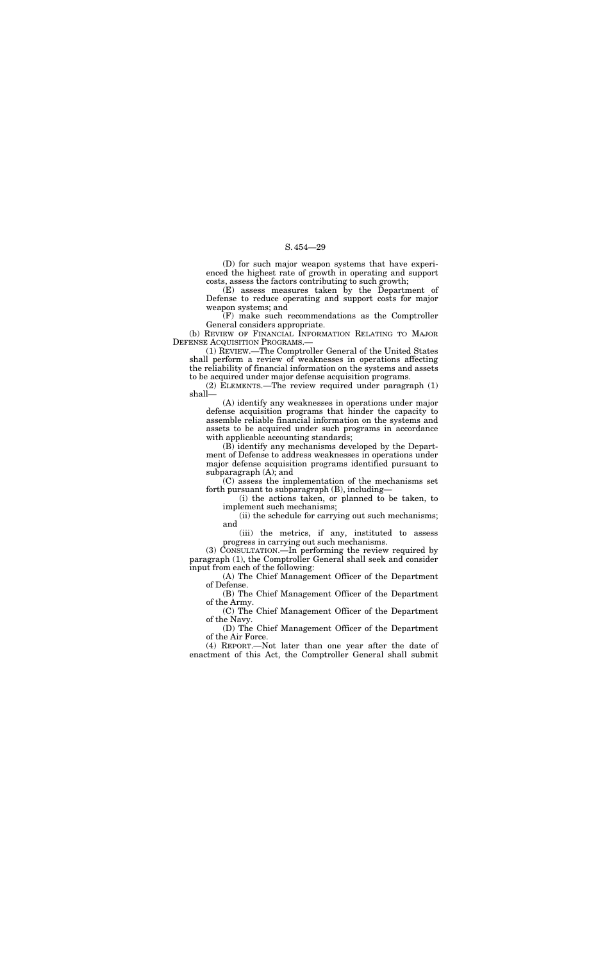(D) for such major weapon systems that have experienced the highest rate of growth in operating and support costs, assess the factors contributing to such growth;

(b) REVIEW OF FINANCIAL INFORMATION RELATING TO MAJOR DEFENSE ACQUISITION PROGRAMS.

(E) assess measures taken by the Department of Defense to reduce operating and support costs for major weapon systems; and

(F) make such recommendations as the Comptroller General considers appropriate.

(A) identify any weaknesses in operations under major defense acquisition programs that hinder the capacity to assemble reliable financial information on the systems and assets to be acquired under such programs in accordance with applicable accounting standards;

(1) REVIEW.—The Comptroller General of the United States shall perform a review of weaknesses in operations affecting the reliability of financial information on the systems and assets to be acquired under major defense acquisition programs.

(2) ELEMENTS.—The review required under paragraph (1) shall—

(B) identify any mechanisms developed by the Department of Defense to address weaknesses in operations under major defense acquisition programs identified pursuant to subparagraph (A); and

(C) assess the implementation of the mechanisms set forth pursuant to subparagraph (B), including—

(i) the actions taken, or planned to be taken, to implement such mechanisms;

(ii) the schedule for carrying out such mechanisms; and

(iii) the metrics, if any, instituted to assess progress in carrying out such mechanisms.

(3) CONSULTATION.—In performing the review required by paragraph (1), the Comptroller General shall seek and consider input from each of the following:

(A) The Chief Management Officer of the Department of Defense.

(B) The Chief Management Officer of the Department of the Army.

(C) The Chief Management Officer of the Department of the Navy.

(D) The Chief Management Officer of the Department of the Air Force.

(4) REPORT.—Not later than one year after the date of enactment of this Act, the Comptroller General shall submit